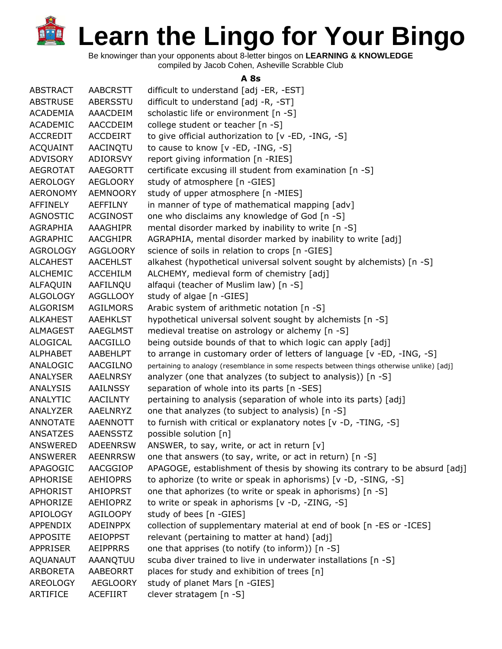Be knowinger than your opponents about 8-letter bingos on **LEARNING & KNOWLEDGE** compiled by Jacob Cohen, Asheville Scrabble Club

## **A 8s**

| <b>ABSTRACT</b> | <b>AABCRSTT</b> | difficult to understand [adj -ER, -EST]                                                    |
|-----------------|-----------------|--------------------------------------------------------------------------------------------|
| <b>ABSTRUSE</b> | <b>ABERSSTU</b> | difficult to understand [adj -R, -ST]                                                      |
| <b>ACADEMIA</b> | AAACDEIM        | scholastic life or environment [n -S]                                                      |
| ACADEMIC        | AACCDEIM        | college student or teacher [n -S]                                                          |
| <b>ACCREDIT</b> | <b>ACCDEIRT</b> | to give official authorization to [v -ED, -ING, -S]                                        |
| <b>ACQUAINT</b> | AACINQTU        | to cause to know [v -ED, -ING, -S]                                                         |
| <b>ADVISORY</b> | <b>ADIORSVY</b> | report giving information [n -RIES]                                                        |
| <b>AEGROTAT</b> | AAEGORTT        | certificate excusing ill student from examination [n -S]                                   |
| <b>AEROLOGY</b> | <b>AEGLOORY</b> | study of atmosphere [n -GIES]                                                              |
| <b>AERONOMY</b> | <b>AEMNOORY</b> | study of upper atmosphere [n -MIES]                                                        |
| AFFINELY        | <b>AEFFILNY</b> | in manner of type of mathematical mapping [adv]                                            |
| <b>AGNOSTIC</b> | <b>ACGINOST</b> | one who disclaims any knowledge of God [n -S]                                              |
| AGRAPHIA        | AAAGHIPR        | mental disorder marked by inability to write [n -S]                                        |
| AGRAPHIC        | <b>AACGHIPR</b> | AGRAPHIA, mental disorder marked by inability to write [adj]                               |
| <b>AGROLOGY</b> | <b>AGGLOORY</b> | science of soils in relation to crops [n -GIES]                                            |
| <b>ALCAHEST</b> | <b>AACEHLST</b> | alkahest (hypothetical universal solvent sought by alchemists) [n -S]                      |
| <b>ALCHEMIC</b> | <b>ACCEHILM</b> | ALCHEMY, medieval form of chemistry [adj]                                                  |
| ALFAQUIN        | AAFILNOU        | alfaqui (teacher of Muslim law) [n -S]                                                     |
| <b>ALGOLOGY</b> | <b>AGGLLOOY</b> | study of algae [n -GIES]                                                                   |
| <b>ALGORISM</b> | <b>AGILMORS</b> | Arabic system of arithmetic notation [n -S]                                                |
| <b>ALKAHEST</b> | <b>AAEHKLST</b> | hypothetical universal solvent sought by alchemists [n -S]                                 |
| <b>ALMAGEST</b> | AAEGLMST        | medieval treatise on astrology or alchemy [n -S]                                           |
| <b>ALOGICAL</b> | <b>AACGILLO</b> | being outside bounds of that to which logic can apply [adj]                                |
| <b>ALPHABET</b> | AABEHLPT        | to arrange in customary order of letters of language [v -ED, -ING, -S]                     |
| ANALOGIC        | AACGILNO        | pertaining to analogy (resemblance in some respects between things otherwise unlike) [adj] |
| <b>ANALYSER</b> | <b>AAELNRSY</b> | analyzer (one that analyzes (to subject to analysis)) [n -S]                               |
| <b>ANALYSIS</b> | <b>AAILNSSY</b> | separation of whole into its parts [n -SES]                                                |
| ANALYTIC        | <b>AACILNTY</b> | pertaining to analysis (separation of whole into its parts) [adj]                          |
| ANALYZER        | AAELNRYZ        | one that analyzes (to subject to analysis) [n -S]                                          |
| ANNOTATE        | AAENNOTT        | to furnish with critical or explanatory notes [v -D, -TING, -S]                            |
| ANSATZES        | <b>AAENSSTZ</b> | possible solution [n]                                                                      |
| <b>ANSWERED</b> | <b>ADEENRSW</b> | ANSWER, to say, write, or act in return $[v]$                                              |
| <b>ANSWERER</b> | <b>AEENRRSW</b> | one that answers (to say, write, or act in return) [n -S]                                  |
| APAGOGIC        | AACGGIOP        | APAGOGE, establishment of thesis by showing its contrary to be absurd [adj]                |
| APHORISE        | <b>AEHIOPRS</b> | to aphorize (to write or speak in aphorisms) [v -D, -SING, -S]                             |
| <b>APHORIST</b> | <b>AHIOPRST</b> | one that aphorizes (to write or speak in aphorisms) [n -S]                                 |
| APHORIZE        | <b>AEHIOPRZ</b> | to write or speak in aphorisms [v -D, -ZING, -S]                                           |
| APIOLOGY        | <b>AGILOOPY</b> | study of bees [n -GIES]                                                                    |
| APPENDIX        | <b>ADEINPPX</b> | collection of supplementary material at end of book [n -ES or -ICES]                       |
| <b>APPOSITE</b> | <b>AEIOPPST</b> | relevant (pertaining to matter at hand) [adj]                                              |
| APPRISER        | <b>AEIPPRRS</b> | one that apprises (to notify (to inform)) [n -S]                                           |
| AQUANAUT        | AAANQTUU        | scuba diver trained to live in underwater installations [n -S]                             |
| ARBORETA        | AABEORRT        | places for study and exhibition of trees [n]                                               |
| AREOLOGY        | <b>AEGLOORY</b> | study of planet Mars [n -GIES]                                                             |
| ARTIFICE        | <b>ACEFIIRT</b> | clever stratagem [n -S]                                                                    |
|                 |                 |                                                                                            |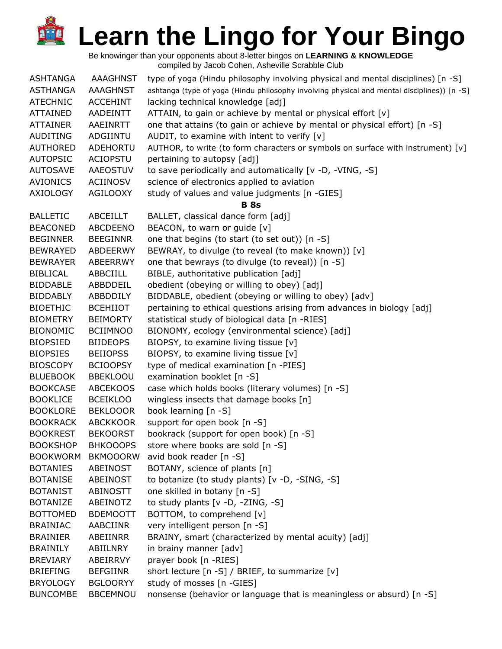| <b>ASHTANGA</b> | <b>AAAGHNST</b> | type of yoga (Hindu philosophy involving physical and mental disciplines) [n -S]            |
|-----------------|-----------------|---------------------------------------------------------------------------------------------|
| <b>ASTHANGA</b> | AAAGHNST        | ashtanga (type of yoga (Hindu philosophy involving physical and mental disciplines)) [n -S] |
| <b>ATECHNIC</b> | <b>ACCEHINT</b> | lacking technical knowledge [adj]                                                           |
| <b>ATTAINED</b> | AADEINTT        | ATTAIN, to gain or achieve by mental or physical effort [v]                                 |
| <b>ATTAINER</b> | AAEINRTT        | one that attains (to gain or achieve by mental or physical effort) [n -S]                   |
| <b>AUDITING</b> | ADGIINTU        | AUDIT, to examine with intent to verify [v]                                                 |
| <b>AUTHORED</b> | ADEHORTU        | AUTHOR, to write (to form characters or symbols on surface with instrument) [v]             |
| <b>AUTOPSIC</b> | <b>ACIOPSTU</b> | pertaining to autopsy [adj]                                                                 |
| <b>AUTOSAVE</b> | AAEOSTUV        | to save periodically and automatically [v -D, -VING, -S]                                    |
| AVIONICS        | <b>ACIINOSV</b> | science of electronics applied to aviation                                                  |
| <b>AXIOLOGY</b> | <b>AGILOOXY</b> | study of values and value judgments [n -GIES]                                               |
|                 |                 | <b>B</b> 8s                                                                                 |
| <b>BALLETIC</b> | ABCEILLT        | BALLET, classical dance form [adj]                                                          |
| <b>BEACONED</b> | <b>ABCDEENO</b> | BEACON, to warn or guide [v]                                                                |
| <b>BEGINNER</b> | <b>BEEGINNR</b> | one that begins (to start (to set out)) [n -S]                                              |
| <b>BEWRAYED</b> | ABDEERWY        | BEWRAY, to divulge (to reveal (to make known)) [v]                                          |
| <b>BEWRAYER</b> | ABEERRWY        | one that bewrays (to divulge (to reveal)) [n -S]                                            |
| <b>BIBLICAL</b> | ABBCIILL        | BIBLE, authoritative publication [adj]                                                      |
| <b>BIDDABLE</b> | ABBDDEIL        | obedient (obeying or willing to obey) [adj]                                                 |
| <b>BIDDABLY</b> | ABBDDILY        | BIDDABLE, obedient (obeying or willing to obey) [adv]                                       |
| <b>BIOETHIC</b> | <b>BCEHIIOT</b> | pertaining to ethical questions arising from advances in biology [adj]                      |
| <b>BIOMETRY</b> | <b>BEIMORTY</b> | statistical study of biological data [n -RIES]                                              |
| <b>BIONOMIC</b> | <b>BCIIMNOO</b> | BIONOMY, ecology (environmental science) [adj]                                              |
| <b>BIOPSIED</b> | <b>BIIDEOPS</b> | BIOPSY, to examine living tissue [v]                                                        |
| <b>BIOPSIES</b> | <b>BEIIOPSS</b> | BIOPSY, to examine living tissue [v]                                                        |
| <b>BIOSCOPY</b> | <b>BCIOOPSY</b> | type of medical examination [n -PIES]                                                       |
| <b>BLUEBOOK</b> | <b>BBEKLOOU</b> | examination booklet [n -S]                                                                  |
| <b>BOOKCASE</b> | <b>ABCEKOOS</b> | case which holds books (literary volumes) [n -S]                                            |
| <b>BOOKLICE</b> | <b>BCEIKLOO</b> | wingless insects that damage books [n]                                                      |
| <b>BOOKLORE</b> | <b>BEKLOOOR</b> | book learning [n -S]                                                                        |
| <b>BOOKRACK</b> | <b>ABCKKOOR</b> | support for open book [n -S]                                                                |
| <b>BOOKREST</b> | <b>BEKOORST</b> | bookrack (support for open book) [n -S]                                                     |
| <b>BOOKSHOP</b> | <b>BHKOOOPS</b> | store where books are sold [n -S]                                                           |
| <b>BOOKWORM</b> | <b>BKMOOORW</b> | avid book reader [n -S]                                                                     |
| <b>BOTANIES</b> | ABEINOST        | BOTANY, science of plants [n]                                                               |
| <b>BOTANISE</b> | ABEINOST        | to botanize (to study plants) [v -D, -SING, -S]                                             |
| <b>BOTANIST</b> | <b>ABINOSTT</b> | one skilled in botany [n -S]                                                                |
| <b>BOTANIZE</b> | ABEINOTZ        | to study plants [v -D, -ZING, -S]                                                           |
| <b>BOTTOMED</b> | <b>BDEMOOTT</b> | BOTTOM, to comprehend [v]                                                                   |
| <b>BRAINIAC</b> | AABCIINR        | very intelligent person [n -S]                                                              |
| <b>BRAINIER</b> | ABEIINRR        | BRAINY, smart (characterized by mental acuity) [adj]                                        |
| <b>BRAINILY</b> | ABIILNRY        | in brainy manner [adv]                                                                      |
| <b>BREVIARY</b> | ABEIRRVY        | prayer book [n -RIES]                                                                       |
| <b>BRIEFING</b> | <b>BEFGIINR</b> | short lecture [n -S] / BRIEF, to summarize [v]                                              |
| <b>BRYOLOGY</b> | <b>BGLOORYY</b> | study of mosses [n -GIES]                                                                   |
| <b>BUNCOMBE</b> | <b>BBCEMNOU</b> | nonsense (behavior or language that is meaningless or absurd) [n -S]                        |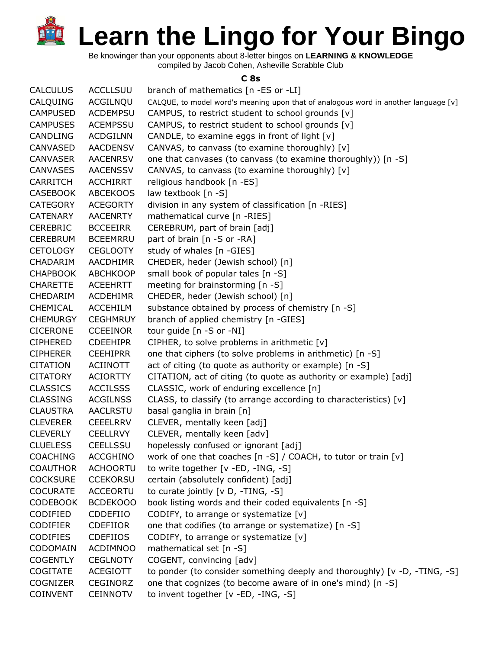Be knowinger than your opponents about 8-letter bingos on **LEARNING & KNOWLEDGE** compiled by Jacob Cohen, Asheville Scrabble Club

**C 8s**

| <b>CALCULUS</b> | <b>ACCLLSUU</b> | branch of mathematics [n -ES or -LI]                                                |
|-----------------|-----------------|-------------------------------------------------------------------------------------|
| CALQUING        | ACGILNQU        | CALQUE, to model word's meaning upon that of analogous word in another language [v] |
| <b>CAMPUSED</b> | <b>ACDEMPSU</b> | CAMPUS, to restrict student to school grounds [v]                                   |
| <b>CAMPUSES</b> | <b>ACEMPSSU</b> | CAMPUS, to restrict student to school grounds [v]                                   |
| <b>CANDLING</b> | <b>ACDGILNN</b> | CANDLE, to examine eggs in front of light [v]                                       |
| CANVASED        | <b>AACDENSV</b> | CANVAS, to canvass (to examine thoroughly) [v]                                      |
| <b>CANVASER</b> | <b>AACENRSV</b> | one that canvases (to canvass (to examine thoroughly)) [n -S]                       |
| <b>CANVASES</b> | <b>AACENSSV</b> | CANVAS, to canvass (to examine thoroughly) [v]                                      |
| CARRITCH        | <b>ACCHIRRT</b> | religious handbook [n -ES]                                                          |
| <b>CASEBOOK</b> | <b>ABCEKOOS</b> | law textbook [n -S]                                                                 |
| <b>CATEGORY</b> | <b>ACEGORTY</b> | division in any system of classification [n -RIES]                                  |
| <b>CATENARY</b> | <b>AACENRTY</b> | mathematical curve [n -RIES]                                                        |
| <b>CEREBRIC</b> | <b>BCCEEIRR</b> | CEREBRUM, part of brain [adj]                                                       |
| <b>CEREBRUM</b> | <b>BCEEMRRU</b> | part of brain [n -S or -RA]                                                         |
| <b>CETOLOGY</b> | <b>CEGLOOTY</b> | study of whales [n -GIES]                                                           |
| CHADARIM        | <b>AACDHIMR</b> | CHEDER, heder (Jewish school) [n]                                                   |
| <b>CHAPBOOK</b> | <b>ABCHKOOP</b> | small book of popular tales [n -S]                                                  |
| <b>CHARETTE</b> | <b>ACEEHRTT</b> | meeting for brainstorming [n -S]                                                    |
| CHEDARIM        | <b>ACDEHIMR</b> | CHEDER, heder (Jewish school) [n]                                                   |
| CHEMICAL        | <b>ACCEHILM</b> | substance obtained by process of chemistry [n -S]                                   |
| <b>CHEMURGY</b> | <b>CEGHMRUY</b> | branch of applied chemistry [n -GIES]                                               |
| <b>CICERONE</b> | <b>CCEEINOR</b> | tour guide [n -S or -NI]                                                            |
| <b>CIPHERED</b> | <b>CDEEHIPR</b> | CIPHER, to solve problems in arithmetic [v]                                         |
| <b>CIPHERER</b> | <b>CEEHIPRR</b> | one that ciphers (to solve problems in arithmetic) [n -S]                           |
| <b>CITATION</b> | <b>ACIINOTT</b> | act of citing (to quote as authority or example) [n -S]                             |
| <b>CITATORY</b> | <b>ACIORTTY</b> | CITATION, act of citing (to quote as authority or example) [adj]                    |
| <b>CLASSICS</b> | <b>ACCILSSS</b> | CLASSIC, work of enduring excellence [n]                                            |
| <b>CLASSING</b> | <b>ACGILNSS</b> | CLASS, to classify (to arrange according to characteristics) [v]                    |
| <b>CLAUSTRA</b> | <b>AACLRSTU</b> | basal ganglia in brain [n]                                                          |
| <b>CLEVERER</b> | <b>CEEELRRV</b> | CLEVER, mentally keen [adj]                                                         |
| <b>CLEVERLY</b> | <b>CEELLRVY</b> | CLEVER, mentally keen [adv]                                                         |
| <b>CLUELESS</b> | CEELLSSU        | hopelessly confused or ignorant [adj]                                               |
| <b>COACHING</b> | <b>ACCGHINO</b> | work of one that coaches [n -S] / COACH, to tutor or train [v]                      |
| <b>COAUTHOR</b> | <b>ACHOORTU</b> | to write together [v -ED, -ING, -S]                                                 |
| <b>COCKSURE</b> | <b>CCEKORSU</b> | certain (absolutely confident) [adj]                                                |
| <b>COCURATE</b> | <b>ACCEORTU</b> | to curate jointly [v D, -TING, -S]                                                  |
| <b>CODEBOOK</b> | BCDEK000        | book listing words and their coded equivalents [n -S]                               |
| CODIFIED        | CDDEFIIO        | CODIFY, to arrange or systematize [v]                                               |
| <b>CODIFIER</b> | <b>CDEFIIOR</b> | one that codifies (to arrange or systematize) [n -S]                                |
| <b>CODIFIES</b> | <b>CDEFIIOS</b> | CODIFY, to arrange or systematize [v]                                               |
| CODOMAIN        | <b>ACDIMNOO</b> | mathematical set [n -S]                                                             |
| <b>COGENTLY</b> | <b>CEGLNOTY</b> | COGENT, convincing [adv]                                                            |
| <b>COGITATE</b> | <b>ACEGIOTT</b> | to ponder (to consider something deeply and thoroughly) [v -D, -TING, -S]           |
| <b>COGNIZER</b> | <b>CEGINORZ</b> | one that cognizes (to become aware of in one's mind) [n -S]                         |
| <b>COINVENT</b> | <b>CEINNOTV</b> | to invent together [v -ED, -ING, -S]                                                |
|                 |                 |                                                                                     |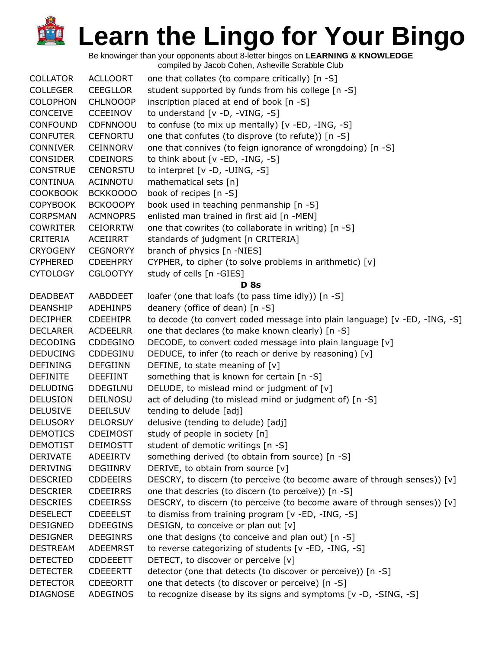| <b>COLLATOR</b> | <b>ACLLOORT</b> | one that collates (to compare critically) [n -S]                           |
|-----------------|-----------------|----------------------------------------------------------------------------|
| <b>COLLEGER</b> | <b>CEEGLLOR</b> | student supported by funds from his college [n -S]                         |
| <b>COLOPHON</b> | <b>CHLNOOOP</b> | inscription placed at end of book [n -S]                                   |
| CONCEIVE        | <b>CCEEINOV</b> | to understand [v -D, -VING, -S]                                            |
| <b>CONFOUND</b> | CDFNNOOU        | to confuse (to mix up mentally) [v -ED, -ING, -S]                          |
| <b>CONFUTER</b> | <b>CEFNORTU</b> | one that confutes (to disprove (to refute)) [n -S]                         |
| <b>CONNIVER</b> | CEINNORV        | one that connives (to feign ignorance of wrongdoing) [n -S]                |
| <b>CONSIDER</b> | <b>CDEINORS</b> | to think about $[v - ED, -ING, -S]$                                        |
| <b>CONSTRUE</b> | <b>CENORSTU</b> | to interpret [v -D, -UING, -S]                                             |
| <b>CONTINUA</b> | ACINNOTU        | mathematical sets [n]                                                      |
| <b>COOKBOOK</b> | BCKKOOOO        | book of recipes [n -S]                                                     |
| <b>COPYBOOK</b> | <b>BCKOOOPY</b> | book used in teaching penmanship [n -S]                                    |
| <b>CORPSMAN</b> | <b>ACMNOPRS</b> | enlisted man trained in first aid [n -MEN]                                 |
| <b>COWRITER</b> | <b>CEIORRTW</b> | one that cowrites (to collaborate in writing) [n -S]                       |
| CRITERIA        | <b>ACEIIRRT</b> | standards of judgment [n CRITERIA]                                         |
| <b>CRYOGENY</b> | <b>CEGNORYY</b> | branch of physics [n -NIES]                                                |
| <b>CYPHERED</b> | <b>CDEEHPRY</b> | CYPHER, to cipher (to solve problems in arithmetic) [v]                    |
| <b>CYTOLOGY</b> | <b>CGLOOTYY</b> | study of cells [n -GIES]                                                   |
|                 |                 | <b>D</b> 8s                                                                |
| <b>DEADBEAT</b> | AABDDEET        | loafer (one that loafs (to pass time idly)) [n -S]                         |
| <b>DEANSHIP</b> | <b>ADEHINPS</b> | deanery (office of dean) [n -S]                                            |
| <b>DECIPHER</b> | <b>CDEEHIPR</b> | to decode (to convert coded message into plain language) [v -ED, -ING, -S] |
| <b>DECLARER</b> | <b>ACDEELRR</b> | one that declares (to make known clearly) [n -S]                           |
| <b>DECODING</b> | CDDEGINO        | DECODE, to convert coded message into plain language [v]                   |
| <b>DEDUCING</b> | CDDEGINU        | DEDUCE, to infer (to reach or derive by reasoning) [v]                     |
| <b>DEFINING</b> | <b>DEFGIINN</b> | DEFINE, to state meaning of $[v]$                                          |
| <b>DEFINITE</b> | <b>DEEFIINT</b> | something that is known for certain [n -S]                                 |
| <b>DELUDING</b> | <b>DDEGILNU</b> | DELUDE, to mislead mind or judgment of [v]                                 |
| <b>DELUSION</b> | DEILNOSU        | act of deluding (to mislead mind or judgment of) [n -S]                    |
| <b>DELUSIVE</b> | <b>DEEILSUV</b> | tending to delude [adj]                                                    |
| <b>DELUSORY</b> | <b>DELORSUY</b> | delusive (tending to delude) [adj]                                         |
| <b>DEMOTICS</b> | <b>CDEIMOST</b> | study of people in society [n]                                             |
| <b>DEMOTIST</b> | <b>DEIMOSTT</b> | student of demotic writings [n -S]                                         |
| <b>DERIVATE</b> | ADEEIRTV        | something derived (to obtain from source) [n -S]                           |
| <b>DERIVING</b> | DEGIINRV        | DERIVE, to obtain from source [v]                                          |
| <b>DESCRIED</b> | <b>CDDEEIRS</b> | DESCRY, to discern (to perceive (to become aware of through senses)) [v]   |
| <b>DESCRIER</b> | <b>CDEEIRRS</b> | one that descries (to discern (to perceive)) [n -S]                        |
| <b>DESCRIES</b> | <b>CDEEIRSS</b> | DESCRY, to discern (to perceive (to become aware of through senses)) [v]   |
| <b>DESELECT</b> | <b>CDEEELST</b> | to dismiss from training program [v -ED, -ING, -S]                         |
| <b>DESIGNED</b> | <b>DDEEGINS</b> | DESIGN, to conceive or plan out [v]                                        |
| <b>DESIGNER</b> | <b>DEEGINRS</b> | one that designs (to conceive and plan out) [n -S]                         |
| <b>DESTREAM</b> | <b>ADEEMRST</b> | to reverse categorizing of students [v -ED, -ING, -S]                      |
| <b>DETECTED</b> | <b>CDDEEETT</b> | DETECT, to discover or perceive [v]                                        |
| <b>DETECTER</b> | <b>CDEEERTT</b> | detector (one that detects (to discover or perceive)) [n -S]               |
| <b>DETECTOR</b> | <b>CDEEORTT</b> | one that detects (to discover or perceive) [n -S]                          |
| <b>DIAGNOSE</b> | ADEGINOS        | to recognize disease by its signs and symptoms [v -D, -SING, -S]           |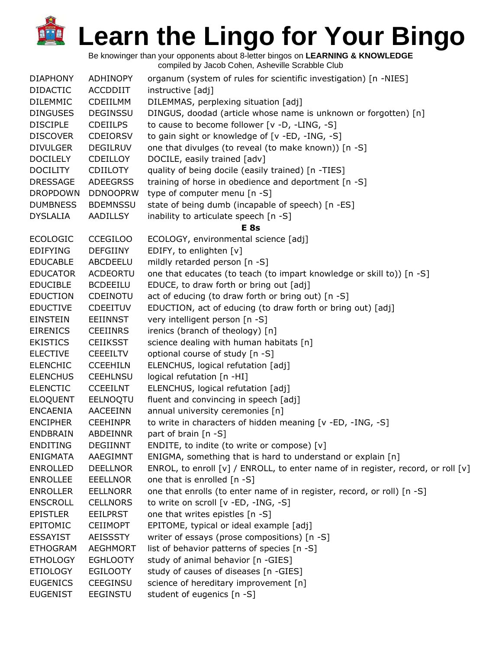| <b>DIAPHONY</b> | <b>ADHINOPY</b> | organum (system of rules for scientific investigation) [n -NIES]                 |
|-----------------|-----------------|----------------------------------------------------------------------------------|
| <b>DIDACTIC</b> | ACCDDIIT        | instructive [adj]                                                                |
| <b>DILEMMIC</b> | <b>CDEIILMM</b> | DILEMMAS, perplexing situation [adj]                                             |
| <b>DINGUSES</b> | <b>DEGINSSU</b> | DINGUS, doodad (article whose name is unknown or forgotten) [n]                  |
| <b>DISCIPLE</b> | <b>CDEIILPS</b> | to cause to become follower [v -D, -LING, -S]                                    |
| <b>DISCOVER</b> | <b>CDEIORSV</b> | to gain sight or knowledge of [v -ED, -ING, -S]                                  |
| <b>DIVULGER</b> | <b>DEGILRUV</b> | one that divulges (to reveal (to make known)) [n -S]                             |
| <b>DOCILELY</b> | <b>CDEILLOY</b> | DOCILE, easily trained [adv]                                                     |
| <b>DOCILITY</b> | CDIILOTY        | quality of being docile (easily trained) [n -TIES]                               |
| <b>DRESSAGE</b> | <b>ADEEGRSS</b> | training of horse in obedience and deportment [n -S]                             |
| <b>DROPDOWN</b> | <b>DDNOOPRW</b> | type of computer menu [n -S]                                                     |
| <b>DUMBNESS</b> | <b>BDEMNSSU</b> | state of being dumb (incapable of speech) [n -ES]                                |
| <b>DYSLALIA</b> | <b>AADILLSY</b> | inability to articulate speech [n -S]                                            |
|                 |                 | <b>E</b> 8s                                                                      |
| <b>ECOLOGIC</b> | <b>CCEGILOO</b> | ECOLOGY, environmental science [adj]                                             |
| <b>EDIFYING</b> | <b>DEFGIINY</b> | EDIFY, to enlighten [v]                                                          |
| <b>EDUCABLE</b> | ABCDEELU        | mildly retarded person [n -S]                                                    |
| <b>EDUCATOR</b> | <b>ACDEORTU</b> | one that educates (to teach (to impart knowledge or skill to)) [n -S]            |
| <b>EDUCIBLE</b> | <b>BCDEEILU</b> | EDUCE, to draw forth or bring out [adj]                                          |
| <b>EDUCTION</b> | CDEINOTU        | act of educing (to draw forth or bring out) [n -S]                               |
| <b>EDUCTIVE</b> | <b>CDEEITUV</b> | EDUCTION, act of educing (to draw forth or bring out) [adj]                      |
| <b>EINSTEIN</b> | <b>EEIINNST</b> | very intelligent person [n -S]                                                   |
| <b>EIRENICS</b> | <b>CEEIINRS</b> | irenics (branch of theology) [n]                                                 |
| <b>EKISTICS</b> | <b>CEIIKSST</b> | science dealing with human habitats [n]                                          |
| <b>ELECTIVE</b> | <b>CEEEILTV</b> | optional course of study [n -S]                                                  |
| <b>ELENCHIC</b> | <b>CCEEHILN</b> | ELENCHUS, logical refutation [adj]                                               |
| <b>ELENCHUS</b> | <b>CEEHLNSU</b> | logical refutation [n -HI]                                                       |
| <b>ELENCTIC</b> | <b>CCEEILNT</b> | ELENCHUS, logical refutation [adj]                                               |
| <b>ELOQUENT</b> | <b>EELNOQTU</b> | fluent and convincing in speech [adj]                                            |
| <b>ENCAENIA</b> | AACEEINN        | annual university ceremonies [n]                                                 |
| <b>ENCIPHER</b> | <b>CEEHINPR</b> | to write in characters of hidden meaning [v -ED, -ING, -S]                       |
| <b>ENDBRAIN</b> | ABDEINNR        | part of brain [n -S]                                                             |
| <b>ENDITING</b> | <b>DEGIINNT</b> | ENDITE, to indite (to write or compose) [v]                                      |
| <b>ENIGMATA</b> | AAEGIMNT        | ENIGMA, something that is hard to understand or explain [n]                      |
| <b>ENROLLED</b> | <b>DEELLNOR</b> | ENROL, to enroll [v] / ENROLL, to enter name of in register, record, or roll [v] |
| <b>ENROLLEE</b> | <b>EEELLNOR</b> | one that is enrolled [n -S]                                                      |
| <b>ENROLLER</b> | <b>EELLNORR</b> | one that enrolls (to enter name of in register, record, or roll) [n -S]          |
| <b>ENSCROLL</b> | <b>CELLNORS</b> | to write on scroll [v -ED, -ING, -S]                                             |
| <b>EPISTLER</b> | <b>EEILPRST</b> | one that writes epistles [n -S]                                                  |
| EPITOMIC        | <b>CEIIMOPT</b> | EPITOME, typical or ideal example [adj]                                          |
| <b>ESSAYIST</b> | <b>AEISSSTY</b> | writer of essays (prose compositions) [n -S]                                     |
| <b>ETHOGRAM</b> | <b>AEGHMORT</b> | list of behavior patterns of species [n -S]                                      |
| <b>ETHOLOGY</b> | <b>EGHLOOTY</b> | study of animal behavior [n -GIES]                                               |
| <b>ETIOLOGY</b> | <b>EGILOOTY</b> | study of causes of diseases [n -GIES]                                            |
| <b>EUGENICS</b> | CEEGINSU        | science of hereditary improvement [n]                                            |
| <b>EUGENIST</b> | <b>EEGINSTU</b> | student of eugenics [n -S]                                                       |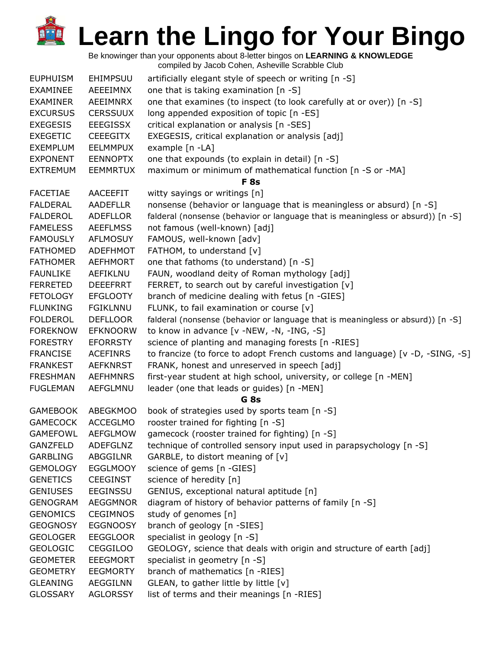| <b>EUPHUISM</b> | EHIMPSUU        | artificially elegant style of speech or writing [n -S]                          |
|-----------------|-----------------|---------------------------------------------------------------------------------|
| <b>EXAMINEE</b> | AEEEIMNX        | one that is taking examination [n -S]                                           |
| <b>EXAMINER</b> | AEEIMNRX        | one that examines (to inspect (to look carefully at or over)) [n -S]            |
| <b>EXCURSUS</b> | <b>CERSSUUX</b> | long appended exposition of topic [n -ES]                                       |
| <b>EXEGESIS</b> | <b>EEEGISSX</b> | critical explanation or analysis [n -SES]                                       |
| <b>EXEGETIC</b> | <b>CEEEGITX</b> | EXEGESIS, critical explanation or analysis [adj]                                |
| <b>EXEMPLUM</b> | <b>EELMMPUX</b> | example [n -LA]                                                                 |
| <b>EXPONENT</b> | <b>EENNOPTX</b> | one that expounds (to explain in detail) [n -S]                                 |
| <b>EXTREMUM</b> | <b>EEMMRTUX</b> | maximum or minimum of mathematical function [n -S or -MA]                       |
|                 |                 | F <sub>8s</sub>                                                                 |
| <b>FACETIAE</b> | AACEEFIT        | witty sayings or writings [n]                                                   |
| <b>FALDERAL</b> | <b>AADEFLLR</b> | nonsense (behavior or language that is meaningless or absurd) [n -S]            |
| <b>FALDEROL</b> | <b>ADEFLLOR</b> | falderal (nonsense (behavior or language that is meaningless or absurd)) [n -S] |
| <b>FAMELESS</b> | <b>AEEFLMSS</b> | not famous (well-known) [adj]                                                   |
| <b>FAMOUSLY</b> | <b>AFLMOSUY</b> | FAMOUS, well-known [adv]                                                        |
| <b>FATHOMED</b> | <b>ADEFHMOT</b> | FATHOM, to understand [v]                                                       |
| <b>FATHOMER</b> | <b>AEFHMORT</b> | one that fathoms (to understand) [n -S]                                         |
| <b>FAUNLIKE</b> | AEFIKLNU        | FAUN, woodland deity of Roman mythology [adj]                                   |
| <b>FERRETED</b> | <b>DEEEFRRT</b> | FERRET, to search out by careful investigation [v]                              |
| <b>FETOLOGY</b> | <b>EFGLOOTY</b> | branch of medicine dealing with fetus [n -GIES]                                 |
| <b>FLUNKING</b> | <b>FGIKLNNU</b> | FLUNK, to fail examination or course [v]                                        |
| <b>FOLDEROL</b> | <b>DEFLLOOR</b> | falderal (nonsense (behavior or language that is meaningless or absurd)) [n -S] |
| <b>FOREKNOW</b> | <b>EFKNOORW</b> | to know in advance [v -NEW, -N, -ING, -S]                                       |
| <b>FORESTRY</b> | <b>EFORRSTY</b> | science of planting and managing forests [n -RIES]                              |
| <b>FRANCISE</b> | <b>ACEFINRS</b> | to francize (to force to adopt French customs and language) [v -D, -SING, -S]   |
| <b>FRANKEST</b> | <b>AEFKNRST</b> | FRANK, honest and unreserved in speech [adj]                                    |
| <b>FRESHMAN</b> | <b>AEFHMNRS</b> | first-year student at high school, university, or college [n -MEN]              |
| <b>FUGLEMAN</b> | <b>AEFGLMNU</b> | leader (one that leads or guides) [n -MEN]                                      |
|                 |                 | G 8s                                                                            |
| <b>GAMEBOOK</b> | <b>ABEGKMOO</b> | book of strategies used by sports team [n -S]                                   |
| <b>GAMECOCK</b> | <b>ACCEGLMO</b> | rooster trained for fighting [n -S]                                             |
| <b>GAMEFOWL</b> | <b>AEFGLMOW</b> | gamecock (rooster trained for fighting) [n -S]                                  |
| <b>GANZFELD</b> | <b>ADEFGLNZ</b> | technique of controlled sensory input used in parapsychology [n -S]             |
| <b>GARBLING</b> | <b>ABGGILNR</b> | GARBLE, to distort meaning of [v]                                               |
| <b>GEMOLOGY</b> | <b>EGGLMOOY</b> | science of gems [n -GIES]                                                       |
| <b>GENETICS</b> | <b>CEEGINST</b> | science of heredity [n]                                                         |
| <b>GENIUSES</b> | <b>EEGINSSU</b> | GENIUS, exceptional natural aptitude [n]                                        |
| <b>GENOGRAM</b> | <b>AEGGMNOR</b> | diagram of history of behavior patterns of family [n -S]                        |
| <b>GENOMICS</b> | <b>CEGIMNOS</b> | study of genomes [n]                                                            |
| <b>GEOGNOSY</b> | <b>EGGNOOSY</b> | branch of geology [n -SIES]                                                     |
| <b>GEOLOGER</b> | <b>EEGGLOOR</b> | specialist in geology [n -S]                                                    |
| <b>GEOLOGIC</b> | <b>CEGGILOO</b> | GEOLOGY, science that deals with origin and structure of earth [adj]            |
| <b>GEOMETER</b> | <b>EEEGMORT</b> | specialist in geometry [n -S]                                                   |
| <b>GEOMETRY</b> | <b>EEGMORTY</b> | branch of mathematics [n -RIES]                                                 |
| <b>GLEANING</b> | <b>AEGGILNN</b> | GLEAN, to gather little by little [v]                                           |
| <b>GLOSSARY</b> | <b>AGLORSSY</b> | list of terms and their meanings [n -RIES]                                      |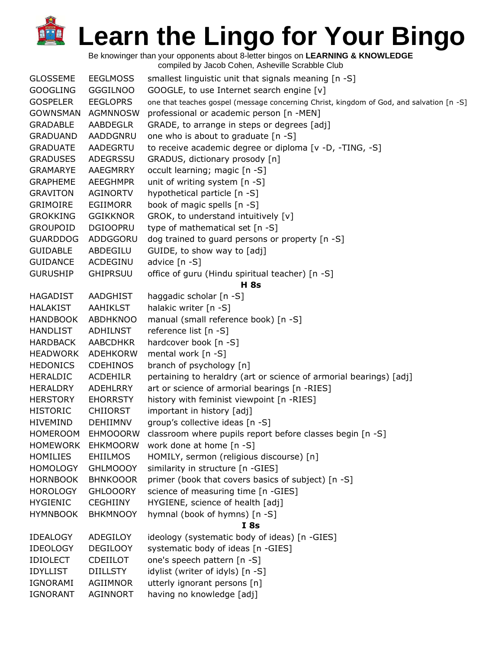Be knowinger than your opponents about 8-letter bingos on **LEARNING & KNOWLEDGE**

| <b>GLOSSEME</b> | <b>EEGLMOSS</b> | smallest linguistic unit that signals meaning [n -S]                                     |
|-----------------|-----------------|------------------------------------------------------------------------------------------|
| <b>GOOGLING</b> | <b>GGGILNOO</b> | GOOGLE, to use Internet search engine [v]                                                |
| <b>GOSPELER</b> | <b>EEGLOPRS</b> | one that teaches gospel (message concerning Christ, kingdom of God, and salvation [n -S] |
| <b>GOWNSMAN</b> | AGMNNOSW        | professional or academic person [n -MEN]                                                 |
| <b>GRADABLE</b> | AABDEGLR        | GRADE, to arrange in steps or degrees [adj]                                              |
| <b>GRADUAND</b> | AADDGNRU        | one who is about to graduate [n -S]                                                      |
| <b>GRADUATE</b> | AADEGRTU        | to receive academic degree or diploma [v -D, -TING, -S]                                  |
| <b>GRADUSES</b> | ADEGRSSU        | GRADUS, dictionary prosody [n]                                                           |
| <b>GRAMARYE</b> | AAEGMRRY        | occult learning; magic [n -S]                                                            |
| <b>GRAPHEME</b> | <b>AEEGHMPR</b> | unit of writing system [n -S]                                                            |
| <b>GRAVITON</b> | AGINORTV        | hypothetical particle [n -S]                                                             |
| <b>GRIMOIRE</b> | <b>EGIIMORR</b> | book of magic spells [n -S]                                                              |
| <b>GROKKING</b> | <b>GGIKKNOR</b> | GROK, to understand intuitively [v]                                                      |
| <b>GROUPOID</b> | <b>DGIOOPRU</b> | type of mathematical set [n -S]                                                          |
| <b>GUARDDOG</b> | ADDGGORU        | dog trained to guard persons or property [n -S]                                          |
| <b>GUIDABLE</b> | ABDEGILU        | GUIDE, to show way to [adj]                                                              |
| <b>GUIDANCE</b> | ACDEGINU        | advice [n -S]                                                                            |
| <b>GURUSHIP</b> | <b>GHIPRSUU</b> | office of guru (Hindu spiritual teacher) [n -S]                                          |
|                 |                 | <b>H</b> 8s                                                                              |
| <b>HAGADIST</b> | AADGHIST        | haggadic scholar [n -S]                                                                  |
| <b>HALAKIST</b> | AAHIKLST        | halakic writer [n -S]                                                                    |
| <b>HANDBOOK</b> | <b>ABDHKNOO</b> | manual (small reference book) [n -S]                                                     |
| <b>HANDLIST</b> | <b>ADHILNST</b> | reference list [n -S]                                                                    |
| <b>HARDBACK</b> | <b>AABCDHKR</b> | hardcover book [n -S]                                                                    |
| <b>HEADWORK</b> | <b>ADEHKORW</b> | mental work [n -S]                                                                       |
| <b>HEDONICS</b> | <b>CDEHINOS</b> | branch of psychology [n]                                                                 |
| <b>HERALDIC</b> | <b>ACDEHILR</b> | pertaining to heraldry (art or science of armorial bearings) [adj]                       |
| <b>HERALDRY</b> | <b>ADEHLRRY</b> | art or science of armorial bearings [n -RIES]                                            |
| <b>HERSTORY</b> | <b>EHORRSTY</b> | history with feminist viewpoint [n -RIES]                                                |
| <b>HISTORIC</b> | <b>CHIIORST</b> | important in history [adj]                                                               |
| <b>HIVEMIND</b> | <b>DEHIIMNV</b> | group's collective ideas [n -S]                                                          |
| <b>HOMEROOM</b> | <b>EHMOOORW</b> | classroom where pupils report before classes begin [n -S]                                |
| <b>HOMEWORK</b> | <b>EHKMOORW</b> | work done at home [n -S]                                                                 |
| <b>HOMILIES</b> | <b>EHIILMOS</b> | HOMILY, sermon (religious discourse) [n]                                                 |
| <b>HOMOLOGY</b> | <b>GHLMOOOY</b> | similarity in structure [n -GIES]                                                        |
| <b>HORNBOOK</b> | <b>BHNKOOOR</b> | primer (book that covers basics of subject) [n -S]                                       |
| <b>HOROLOGY</b> | <b>GHLOOORY</b> | science of measuring time [n -GIES]                                                      |
| <b>HYGIENIC</b> | <b>CEGHIINY</b> | HYGIENE, science of health [adj]                                                         |
| <b>HYMNBOOK</b> | <b>BHKMNOOY</b> | hymnal (book of hymns) [n -S]                                                            |
|                 |                 | I8s                                                                                      |
| <b>IDEALOGY</b> | ADEGILOY        | ideology (systematic body of ideas) [n -GIES]                                            |
| <b>IDEOLOGY</b> | <b>DEGILOOY</b> | systematic body of ideas [n -GIES]                                                       |
| <b>IDIOLECT</b> | CDEIILOT        | one's speech pattern [n -S]                                                              |
| <b>IDYLLIST</b> | <b>DIILLSTY</b> | idylist (writer of idyls) [n -S]                                                         |
| IGNORAMI        | AGIIMNOR        | utterly ignorant persons [n]                                                             |
| <b>IGNORANT</b> | AGINNORT        | having no knowledge [adj]                                                                |
|                 |                 |                                                                                          |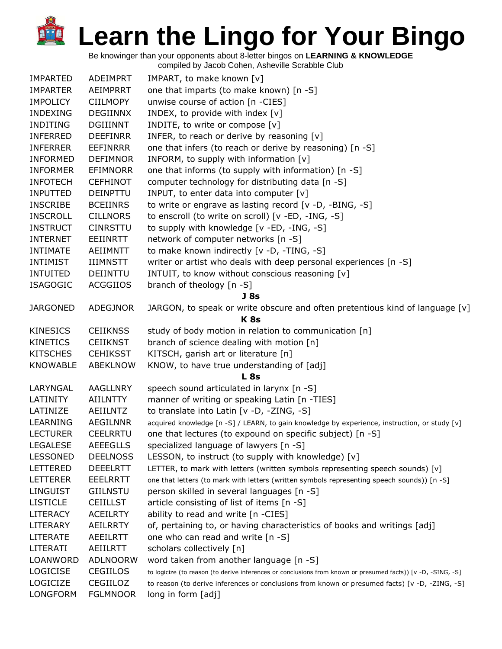Be knowinger than your opponents about 8-letter bingos on **LEARNING & KNOWLEDGE**

| <b>IMPARTED</b> | <b>ADEIMPRT</b> | IMPART, to make known [v]                                                                                    |
|-----------------|-----------------|--------------------------------------------------------------------------------------------------------------|
| <b>IMPARTER</b> | AEIMPRRT        | one that imparts (to make known) [n -S]                                                                      |
| <b>IMPOLICY</b> | <b>CIILMOPY</b> | unwise course of action [n -CIES]                                                                            |
| <b>INDEXING</b> | <b>DEGIINNX</b> | INDEX, to provide with index [v]                                                                             |
| <b>INDITING</b> | <b>DGIIINNT</b> | INDITE, to write or compose [v]                                                                              |
| INFERRED        | <b>DEEFINRR</b> | INFER, to reach or derive by reasoning [v]                                                                   |
| <b>INFERRER</b> | <b>EEFINRRR</b> | one that infers (to reach or derive by reasoning) [n -S]                                                     |
| <b>INFORMED</b> | <b>DEFIMNOR</b> | INFORM, to supply with information [v]                                                                       |
| <b>INFORMER</b> | <b>EFIMNORR</b> | one that informs (to supply with information) [n -S]                                                         |
| <b>INFOTECH</b> | <b>CEFHINOT</b> | computer technology for distributing data [n -S]                                                             |
| <b>INPUTTED</b> | <b>DEINPTTU</b> | INPUT, to enter data into computer [v]                                                                       |
| <b>INSCRIBE</b> | <b>BCEIINRS</b> | to write or engrave as lasting record [v -D, -BING, -S]                                                      |
| <b>INSCROLL</b> | <b>CILLNORS</b> | to enscroll (to write on scroll) [v -ED, -ING, -S]                                                           |
| <b>INSTRUCT</b> | <b>CINRSTTU</b> | to supply with knowledge [v -ED, -ING, -S]                                                                   |
| <b>INTERNET</b> | EEIINRTT        | network of computer networks [n -S]                                                                          |
| <b>INTIMATE</b> | <b>AEIIMNTT</b> | to make known indirectly [v -D, -TING, -S]                                                                   |
| <b>INTIMIST</b> | <b>IIIMNSTT</b> | writer or artist who deals with deep personal experiences [n -S]                                             |
| <b>INTUITED</b> | <b>DEIINTTU</b> | INTUIT, to know without conscious reasoning [v]                                                              |
| <b>ISAGOGIC</b> | <b>ACGGIIOS</b> | branch of theology [n -S]                                                                                    |
|                 |                 | J 8s                                                                                                         |
| <b>JARGONED</b> | <b>ADEGJNOR</b> | JARGON, to speak or write obscure and often pretentious kind of language $[v]$                               |
|                 |                 | <b>K8s</b>                                                                                                   |
| <b>KINESICS</b> | <b>CEIIKNSS</b> | study of body motion in relation to communication [n]                                                        |
| <b>KINETICS</b> | <b>CEIIKNST</b> | branch of science dealing with motion [n]                                                                    |
| <b>KITSCHES</b> | <b>CEHIKSST</b> | KITSCH, garish art or literature [n]                                                                         |
| <b>KNOWABLE</b> | ABEKLNOW        | KNOW, to have true understanding of [adj]                                                                    |
|                 |                 | <b>L</b> 8s                                                                                                  |
| LARYNGAL        | <b>AAGLLNRY</b> | speech sound articulated in larynx [n -S]                                                                    |
| LATINITY        | <b>AIILNTTY</b> | manner of writing or speaking Latin [n -TIES]                                                                |
| LATINIZE        | AEIILNTZ        | to translate into Latin [v -D, -ZING, -S]                                                                    |
| LEARNING        | <b>AEGILNNR</b> | acquired knowledge [n -S] / LEARN, to gain knowledge by experience, instruction, or study [v]                |
| <b>LECTURER</b> | <b>CEELRRTU</b> | one that lectures (to expound on specific subject) [n -S]                                                    |
| <b>LEGALESE</b> | <b>AEEEGLLS</b> | specialized language of lawyers [n -S]                                                                       |
| <b>LESSONED</b> | <b>DEELNOSS</b> | LESSON, to instruct (to supply with knowledge) [v]                                                           |
| <b>LETTERED</b> | <b>DEEELRTT</b> | LETTER, to mark with letters (written symbols representing speech sounds) [v]                                |
| <b>LETTERER</b> | <b>EEELRRTT</b> | one that letters (to mark with letters (written symbols representing speech sounds)) [n -S]                  |
| <b>LINGUIST</b> | <b>GIILNSTU</b> | person skilled in several languages [n -S]                                                                   |
| <b>LISTICLE</b> | <b>CEIILLST</b> | article consisting of list of items [n -S]                                                                   |
| <b>LITERACY</b> | <b>ACEILRTY</b> | ability to read and write [n -CIES]                                                                          |
| <b>LITERARY</b> | <b>AEILRRTY</b> | of, pertaining to, or having characteristics of books and writings [adj]                                     |
| <b>LITERATE</b> | <b>AEEILRTT</b> | one who can read and write [n -S]                                                                            |
| LITERATI        | AEIILRTT        | scholars collectively [n]                                                                                    |
| LOANWORD        | <b>ADLNOORW</b> | word taken from another language [n -S]                                                                      |
| <b>LOGICISE</b> | <b>CEGIILOS</b> | to logicize (to reason (to derive inferences or conclusions from known or presumed facts)) [v -D, -SING, -S] |
| LOGICIZE        | CEGIILOZ        | to reason (to derive inferences or conclusions from known or presumed facts) [v -D, -ZING, -S]               |
| LONGFORM        | <b>FGLMNOOR</b> | long in form [adj]                                                                                           |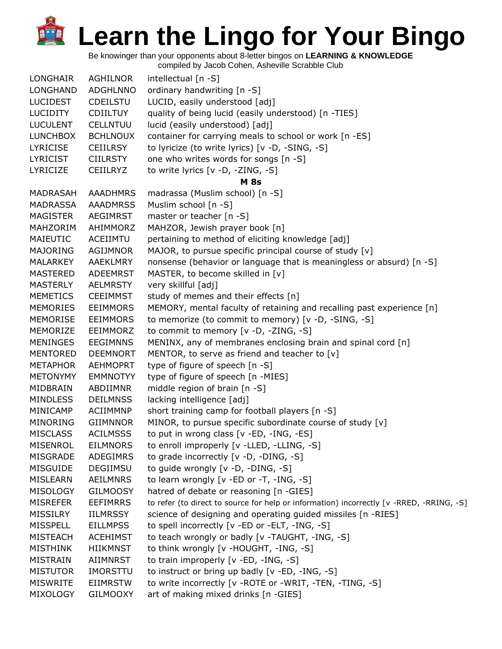Be knowinger than your opponents about 8-letter bingos on **LEARNING & KNOWLEDGE**

| <b>LONGHAIR</b> | AGHILNOR        | intellectual [n -S]                                                                      |
|-----------------|-----------------|------------------------------------------------------------------------------------------|
| <b>LONGHAND</b> | <b>ADGHLNNO</b> | ordinary handwriting [n -S]                                                              |
| <b>LUCIDEST</b> | <b>CDEILSTU</b> | LUCID, easily understood [adj]                                                           |
| <b>LUCIDITY</b> | <b>CDIILTUY</b> | quality of being lucid (easily understood) [n -TIES]                                     |
| <b>LUCULENT</b> | <b>CELLNTUU</b> | lucid (easily understood) [adj]                                                          |
| <b>LUNCHBOX</b> | <b>BCHLNOUX</b> | container for carrying meals to school or work [n -ES]                                   |
| <b>LYRICISE</b> | <b>CEIILRSY</b> | to lyricize (to write lyrics) [v -D, -SING, -S]                                          |
| <b>LYRICIST</b> | <b>CIILRSTY</b> | one who writes words for songs [n -S]                                                    |
| LYRICIZE        | <b>CEIILRYZ</b> | to write lyrics [v -D, -ZING, -S]                                                        |
|                 |                 | <b>M</b> 8s                                                                              |
| MADRASAH        | <b>AAADHMRS</b> | madrassa (Muslim school) [n -S]                                                          |
| <b>MADRASSA</b> | <b>AAADMRSS</b> | Muslim school [n -S]                                                                     |
| <b>MAGISTER</b> | AEGIMRST        | master or teacher [n -S]                                                                 |
| MAHZORIM        | AHIMMORZ        | MAHZOR, Jewish prayer book [n]                                                           |
| MAIEUTIC        | ACEIIMTU        | pertaining to method of eliciting knowledge [adj]                                        |
| <b>MAJORING</b> | AGIJMNOR        | MAJOR, to pursue specific principal course of study [v]                                  |
| <b>MALARKEY</b> | AAEKLMRY        | nonsense (behavior or language that is meaningless or absurd) [n -S]                     |
| <b>MASTERED</b> | ADEEMRST        | MASTER, to become skilled in [v]                                                         |
| <b>MASTERLY</b> | AELMRSTY        | very skillful [adj]                                                                      |
| <b>MEMETICS</b> | <b>CEEIMMST</b> | study of memes and their effects [n]                                                     |
| <b>MEMORIES</b> | <b>EEIMMORS</b> | MEMORY, mental faculty of retaining and recalling past experience [n]                    |
| <b>MEMORISE</b> | <b>EEIMMORS</b> | to memorize (to commit to memory) [v -D, -SING, -S]                                      |
| MEMORIZE        | EEIMMORZ        | to commit to memory [v -D, -ZING, -S]                                                    |
| <b>MENINGES</b> | <b>EEGIMNNS</b> | MENINX, any of membranes enclosing brain and spinal cord [n]                             |
| <b>MENTORED</b> | <b>DEEMNORT</b> | MENTOR, to serve as friend and teacher to [v]                                            |
| <b>METAPHOR</b> | <b>AEHMOPRT</b> | type of figure of speech [n -S]                                                          |
| <b>METONYMY</b> | <b>EMMNOTYY</b> | type of figure of speech [n -MIES]                                                       |
| MIDBRAIN        | ABDIIMNR        | middle region of brain [n -S]                                                            |
| <b>MINDLESS</b> | <b>DEILMNSS</b> | lacking intelligence [adj]                                                               |
| MINICAMP        | <b>ACIIMMNP</b> | short training camp for football players [n -S]                                          |
| MINORING        | <b>GIIMNNOR</b> | MINOR, to pursue specific subordinate course of study [v]                                |
| <b>MISCLASS</b> | <b>ACILMSSS</b> | to put in wrong class [v -ED, -ING, -ES]                                                 |
| <b>MISENROL</b> | <b>EILMNORS</b> | to enroll improperly [v -LLED, -LLING, -S]                                               |
| MISGRADE        | ADEGIMRS        | to grade incorrectly [v -D, -DING, -S]                                                   |
| <b>MISGUIDE</b> | DEGIIMSU        | to guide wrongly [v -D, -DING, -S]                                                       |
| MISLEARN        | <b>AEILMNRS</b> | to learn wrongly $[v - ED$ or $-T$ , $-HNG$ , $-S$ ]                                     |
| <b>MISOLOGY</b> | <b>GILMOOSY</b> | hatred of debate or reasoning [n -GIES]                                                  |
| <b>MISREFER</b> | <b>EEFIMRRS</b> | to refer (to direct to source for help or information) incorrectly [v -RRED, -RRING, -S] |
| <b>MISSILRY</b> | <b>IILMRSSY</b> | science of designing and operating guided missiles [n -RIES]                             |
| <b>MISSPELL</b> | <b>EILLMPSS</b> | to spell incorrectly [v -ED or -ELT, -ING, -S]                                           |
| <b>MISTEACH</b> | <b>ACEHIMST</b> | to teach wrongly or badly [v -TAUGHT, -ING, -S]                                          |
| <b>MISTHINK</b> | <b>HIIKMNST</b> | to think wrongly [v -HOUGHT, -ING, -S]                                                   |
| <b>MISTRAIN</b> | <b>AIIMNRST</b> | to train improperly [v -ED, -ING, -S]                                                    |
| <b>MISTUTOR</b> | IMORSTTU        | to instruct or bring up badly [v -ED, -ING, -S]                                          |
| <b>MISWRITE</b> | <b>EIIMRSTW</b> | to write incorrectly [v - ROTE or - WRIT, - TEN, - TING, -S]                             |
| MIXOLOGY        | <b>GILMOOXY</b> | art of making mixed drinks [n -GIES]                                                     |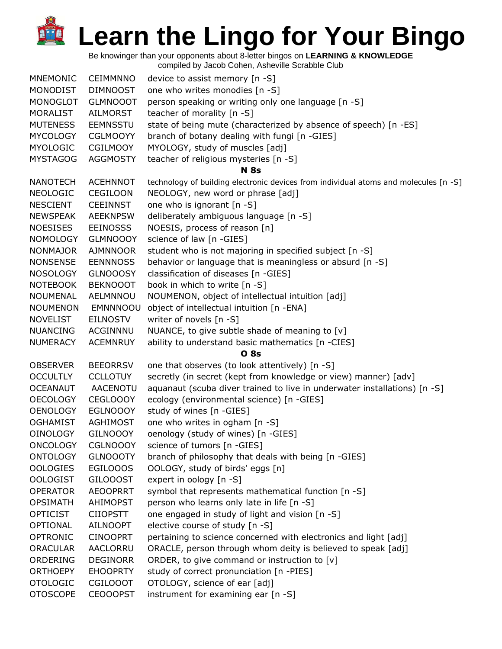Be knowinger than your opponents about 8-letter bingos on **LEARNING & KNOWLEDGE**

| <b>MNEMONIC</b> | <b>CEIMMNNO</b> | device to assist memory [n -S]                                                       |
|-----------------|-----------------|--------------------------------------------------------------------------------------|
| <b>MONODIST</b> | <b>DIMNOOST</b> | one who writes monodies [n -S]                                                       |
| <b>MONOGLOT</b> | <b>GLMNOOOT</b> | person speaking or writing only one language [n -S]                                  |
| MORALIST        | AILMORST        | teacher of morality [n -S]                                                           |
| <b>MUTENESS</b> | <b>EEMNSSTU</b> | state of being mute (characterized by absence of speech) [n -ES]                     |
| <b>MYCOLOGY</b> | <b>CGLMOOYY</b> | branch of botany dealing with fungi [n -GIES]                                        |
| <b>MYOLOGIC</b> | <b>CGILMOOY</b> | MYOLOGY, study of muscles [adj]                                                      |
| <b>MYSTAGOG</b> | <b>AGGMOSTY</b> | teacher of religious mysteries [n -S]                                                |
|                 |                 | <b>N</b> 8s                                                                          |
| <b>NANOTECH</b> | <b>ACEHNNOT</b> | technology of building electronic devices from individual atoms and molecules [n -S] |
| <b>NEOLOGIC</b> | CEGILOON        | NEOLOGY, new word or phrase [adj]                                                    |
| <b>NESCIENT</b> | <b>CEEINNST</b> | one who is ignorant [n -S]                                                           |
| <b>NEWSPEAK</b> | <b>AEEKNPSW</b> | deliberately ambiguous language [n -S]                                               |
| <b>NOESISES</b> | <b>EEINOSSS</b> | NOESIS, process of reason [n]                                                        |
| <b>NOMOLOGY</b> | <b>GLMNOOOY</b> | science of law [n -GIES]                                                             |
| <b>NONMAJOR</b> | <b>AJMNNOOR</b> | student who is not majoring in specified subject [n -S]                              |
| <b>NONSENSE</b> | <b>EENNNOSS</b> | behavior or language that is meaningless or absurd [n -S]                            |
| <b>NOSOLOGY</b> | <b>GLNOOOSY</b> | classification of diseases [n -GIES]                                                 |
| <b>NOTEBOOK</b> | <b>BEKNOOOT</b> | book in which to write [n -S]                                                        |
| <b>NOUMENAL</b> | AELMNNOU        | NOUMENON, object of intellectual intuition [adj]                                     |
| <b>NOUMENON</b> | <b>EMNNNOOU</b> | object of intellectual intuition [n -ENA]                                            |
| <b>NOVELIST</b> | <b>EILNOSTV</b> | writer of novels [n -S]                                                              |
| <b>NUANCING</b> | ACGINNNU        | NUANCE, to give subtle shade of meaning to [v]                                       |
| <b>NUMERACY</b> | <b>ACEMNRUY</b> | ability to understand basic mathematics [n -CIES]                                    |
|                 |                 | <b>O</b> 8s                                                                          |
| <b>OBSERVER</b> | <b>BEEORRSV</b> | one that observes (to look attentively) [n -S]                                       |
| <b>OCCULTLY</b> | <b>CCLLOTUY</b> | secretly (in secret (kept from knowledge or view) manner) [adv]                      |
| <b>OCEANAUT</b> | AACENOTU        | aquanaut (scuba diver trained to live in underwater installations) [n -S]            |
| <b>OECOLOGY</b> | CEGLOOOY        | ecology (environmental science) [n -GIES]                                            |
| <b>OENOLOGY</b> | <b>EGLNOOOY</b> | study of wines [n -GIES]                                                             |
| <b>OGHAMIST</b> | AGHIMOST        | one who writes in ogham [n -S]                                                       |
| <b>OINOLOGY</b> | <b>GILNOOOY</b> | oenology (study of wines) [n -GIES]                                                  |
| <b>ONCOLOGY</b> | <b>CGLNOOOY</b> | science of tumors [n -GIES]                                                          |
| <b>ONTOLOGY</b> | <b>GLNOOOTY</b> | branch of philosophy that deals with being [n -GIES]                                 |
| <b>OOLOGIES</b> | EGILOOOS        | OOLOGY, study of birds' eggs [n]                                                     |
| <b>OOLOGIST</b> | <b>GILOOOST</b> | expert in oology [n -S]                                                              |
| <b>OPERATOR</b> | <b>AEOOPRRT</b> | symbol that represents mathematical function [n -S]                                  |
| <b>OPSIMATH</b> | <b>AHIMOPST</b> | person who learns only late in life [n -S]                                           |
| <b>OPTICIST</b> | <b>CIIOPSTT</b> | one engaged in study of light and vision [n -S]                                      |
| <b>OPTIONAL</b> | <b>AILNOOPT</b> | elective course of study [n -S]                                                      |
| <b>OPTRONIC</b> | <b>CINOOPRT</b> | pertaining to science concerned with electronics and light [adj]                     |
| <b>ORACULAR</b> | <b>AACLORRU</b> | ORACLE, person through whom deity is believed to speak [adj]                         |
| ORDERING        | <b>DEGINORR</b> | ORDER, to give command or instruction to [v]                                         |
| <b>ORTHOEPY</b> | <b>EHOOPRTY</b> | study of correct pronunciation [n -PIES]                                             |
| <b>OTOLOGIC</b> | <b>CGILOOOT</b> | OTOLOGY, science of ear [adj]                                                        |
| <b>OTOSCOPE</b> | <b>CEOOOPST</b> | instrument for examining ear [n -S]                                                  |
|                 |                 |                                                                                      |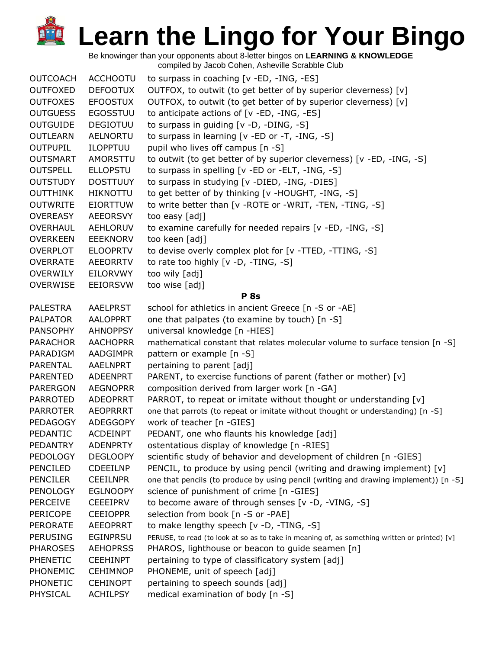| <b>OUTCOACH</b> | <b>ACCHOOTU</b> | to surpass in coaching [v -ED, -ING, -ES]                                                     |
|-----------------|-----------------|-----------------------------------------------------------------------------------------------|
| <b>OUTFOXED</b> | <b>DEFOOTUX</b> | OUTFOX, to outwit (to get better of by superior cleverness) [v]                               |
| <b>OUTFOXES</b> | <b>EFOOSTUX</b> | OUTFOX, to outwit (to get better of by superior cleverness) [v]                               |
| <b>OUTGUESS</b> | <b>EGOSSTUU</b> | to anticipate actions of [v -ED, -ING, -ES]                                                   |
| <b>OUTGUIDE</b> | <b>DEGIOTUU</b> | to surpass in guiding [v -D, -DING, -S]                                                       |
| <b>OUTLEARN</b> | <b>AELNORTU</b> | to surpass in learning [v -ED or -T, -ING, -S]                                                |
| <b>OUTPUPIL</b> | <b>ILOPPTUU</b> | pupil who lives off campus [n -S]                                                             |
| <b>OUTSMART</b> | AMORSTTU        | to outwit (to get better of by superior cleverness) [v -ED, -ING, -S]                         |
| <b>OUTSPELL</b> | <b>ELLOPSTU</b> | to surpass in spelling [v -ED or -ELT, -ING, -S]                                              |
| <b>OUTSTUDY</b> | <b>DOSTTUUY</b> | to surpass in studying [v -DIED, -ING, -DIES]                                                 |
| <b>OUTTHINK</b> | <b>HIKNOTTU</b> | to get better of by thinking [v -HOUGHT, -ING, -S]                                            |
| <b>OUTWRITE</b> | <b>EIORTTUW</b> | to write better than [v - ROTE or - WRIT, - TEN, - TING, -S]                                  |
| <b>OVEREASY</b> | AEEORSVY        | too easy [adj]                                                                                |
| OVERHAUL        | AEHLORUV        | to examine carefully for needed repairs [v -ED, -ING, -S]                                     |
| <b>OVERKEEN</b> | <b>EEEKNORV</b> | too keen [adj]                                                                                |
| <b>OVERPLOT</b> | <b>ELOOPRTV</b> | to devise overly complex plot for [v -TTED, -TTING, -S]                                       |
| <b>OVERRATE</b> | <b>AEEORRTV</b> | to rate too highly [v -D, -TING, -S]                                                          |
| <b>OVERWILY</b> | EILORVWY        | too wily [adj]                                                                                |
| <b>OVERWISE</b> | <b>EEIORSVW</b> | too wise [adj]                                                                                |
|                 |                 | <b>P</b> 8s                                                                                   |
| <b>PALESTRA</b> | <b>AAELPRST</b> | school for athletics in ancient Greece [n -S or -AE]                                          |
| <b>PALPATOR</b> | <b>AALOPPRT</b> | one that palpates (to examine by touch) [n -S]                                                |
| <b>PANSOPHY</b> | <b>AHNOPPSY</b> | universal knowledge [n -HIES]                                                                 |
| <b>PARACHOR</b> | <b>AACHOPRR</b> | mathematical constant that relates molecular volume to surface tension [n -S]                 |
| PARADIGM        | AADGIMPR        | pattern or example [n -S]                                                                     |
| PARENTAL        | AAELNPRT        | pertaining to parent [adj]                                                                    |
| <b>PARENTED</b> | <b>ADEENPRT</b> | PARENT, to exercise functions of parent (father or mother) [v]                                |
| <b>PARERGON</b> | <b>AEGNOPRR</b> | composition derived from larger work [n -GA]                                                  |
| <b>PARROTED</b> | <b>ADEOPRRT</b> | PARROT, to repeat or imitate without thought or understanding [v]                             |
| <b>PARROTER</b> | <b>AEOPRRRT</b> | one that parrots (to repeat or imitate without thought or understanding) [n -S]               |
| <b>PEDAGOGY</b> | <b>ADEGGOPY</b> | work of teacher [n -GIES]                                                                     |
| PEDANTIC        | <b>ACDEINPT</b> | PEDANT, one who flaunts his knowledge [adj]                                                   |
| <b>PEDANTRY</b> | <b>ADENPRTY</b> | ostentatious display of knowledge [n -RIES]                                                   |
| <b>PEDOLOGY</b> | <b>DEGLOOPY</b> | scientific study of behavior and development of children [n -GIES]                            |
| <b>PENCILED</b> | <b>CDEEILNP</b> | PENCIL, to produce by using pencil (writing and drawing implement) [v]                        |
| <b>PENCILER</b> | <b>CEEILNPR</b> | one that pencils (to produce by using pencil (writing and drawing implement)) [n -S]          |
| <b>PENOLOGY</b> | <b>EGLNOOPY</b> | science of punishment of crime [n -GIES]                                                      |
| <b>PERCEIVE</b> | <b>CEEEIPRV</b> | to become aware of through senses [v -D, -VING, -S]                                           |
| <b>PERICOPE</b> | <b>CEEIOPPR</b> | selection from book [n -S or -PAE]                                                            |
| <b>PERORATE</b> | <b>AEEOPRRT</b> | to make lengthy speech [v -D, -TING, -S]                                                      |
| <b>PERUSING</b> | <b>EGINPRSU</b> | PERUSE, to read (to look at so as to take in meaning of, as something written or printed) [v] |
| <b>PHAROSES</b> | <b>AEHOPRSS</b> | PHAROS, lighthouse or beacon to guide seamen [n]                                              |
| PHENETIC        | <b>CEEHINPT</b> | pertaining to type of classificatory system [adj]                                             |
| <b>PHONEMIC</b> | <b>CEHIMNOP</b> | PHONEME, unit of speech [adj]                                                                 |
| PHONETIC        | <b>CEHINOPT</b> | pertaining to speech sounds [adj]                                                             |
| PHYSICAL        | <b>ACHILPSY</b> | medical examination of body [n -S]                                                            |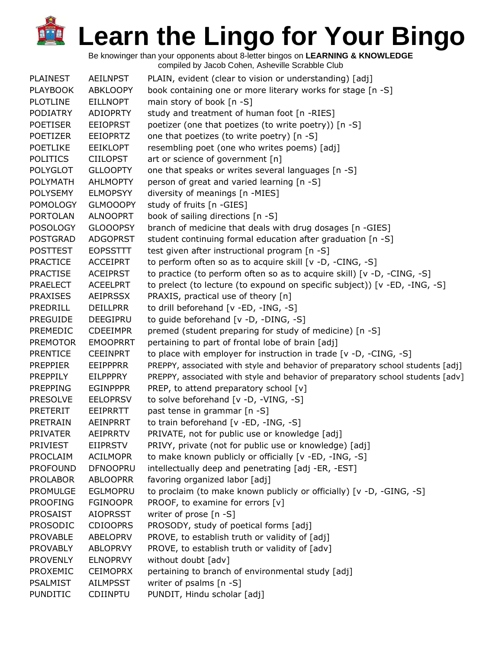| <b>PLAINEST</b> | <b>AEILNPST</b> | PLAIN, evident (clear to vision or understanding) [adj]                         |
|-----------------|-----------------|---------------------------------------------------------------------------------|
| <b>PLAYBOOK</b> | <b>ABKLOOPY</b> | book containing one or more literary works for stage [n -S]                     |
| <b>PLOTLINE</b> | <b>EILLNOPT</b> | main story of book $[n - S]$                                                    |
| <b>PODIATRY</b> | <b>ADIOPRTY</b> | study and treatment of human foot [n -RIES]                                     |
| <b>POETISER</b> | <b>EEIOPRST</b> | poetizer (one that poetizes (to write poetry)) [n -S]                           |
| <b>POETIZER</b> | <b>EEIOPRTZ</b> | one that poetizes (to write poetry) [n -S]                                      |
| <b>POETLIKE</b> | <b>EEIKLOPT</b> | resembling poet (one who writes poems) [adj]                                    |
| <b>POLITICS</b> | <b>CIILOPST</b> | art or science of government [n]                                                |
| <b>POLYGLOT</b> | <b>GLLOOPTY</b> | one that speaks or writes several languages [n -S]                              |
| <b>POLYMATH</b> | <b>AHLMOPTY</b> | person of great and varied learning [n -S]                                      |
| <b>POLYSEMY</b> | <b>ELMOPSYY</b> | diversity of meanings [n -MIES]                                                 |
| <b>POMOLOGY</b> | <b>GLMOOOPY</b> | study of fruits [n -GIES]                                                       |
| <b>PORTOLAN</b> | <b>ALNOOPRT</b> | book of sailing directions [n -S]                                               |
| <b>POSOLOGY</b> | <b>GLOOOPSY</b> | branch of medicine that deals with drug dosages [n -GIES]                       |
| <b>POSTGRAD</b> | <b>ADGOPRST</b> | student continuing formal education after graduation [n -S]                     |
| <b>POSTTEST</b> | <b>EOPSSTTT</b> | test given after instructional program [n -S]                                   |
| <b>PRACTICE</b> | <b>ACCEIPRT</b> | to perform often so as to acquire skill [v -D, -CING, -S]                       |
| <b>PRACTISE</b> | <b>ACEIPRST</b> | to practice (to perform often so as to acquire skill) [v -D, -CING, -S]         |
| <b>PRAELECT</b> | <b>ACEELPRT</b> | to prelect (to lecture (to expound on specific subject)) [v -ED, -ING, -S]      |
| <b>PRAXISES</b> | <b>AEIPRSSX</b> | PRAXIS, practical use of theory [n]                                             |
| PREDRILL        | <b>DEILLPRR</b> | to drill beforehand [v -ED, -ING, -S]                                           |
| <b>PREGUIDE</b> | DEEGIPRU        | to guide beforehand [v -D, -DING, -S]                                           |
| PREMEDIC        | <b>CDEEIMPR</b> | premed (student preparing for study of medicine) [n -S]                         |
| <b>PREMOTOR</b> | <b>EMOOPRRT</b> | pertaining to part of frontal lobe of brain [adj]                               |
| <b>PRENTICE</b> | <b>CEEINPRT</b> | to place with employer for instruction in trade $[v -D, -CING, -S]$             |
| <b>PREPPIER</b> | <b>EEIPPPRR</b> | PREPPY, associated with style and behavior of preparatory school students [adj] |
| PREPPILY        | <b>EILPPPRY</b> | PREPPY, associated with style and behavior of preparatory school students [adv] |
| <b>PREPPING</b> | <b>EGINPPPR</b> | PREP, to attend preparatory school [v]                                          |
| <b>PRESOLVE</b> | <b>EELOPRSV</b> | to solve beforehand [v -D, -VING, -S]                                           |
| <b>PRETERIT</b> | EEIPRRTT        | past tense in grammar [n -S]                                                    |
| PRETRAIN        | <b>AEINPRRT</b> | to train beforehand [v -ED, -ING, -S]                                           |
| <b>PRIVATER</b> | <b>AEIPRRTV</b> | PRIVATE, not for public use or knowledge [adj]                                  |
| <b>PRIVIEST</b> | <b>EIIPRSTV</b> | PRIVY, private (not for public use or knowledge) [adj]                          |
| <b>PROCLAIM</b> | <b>ACILMOPR</b> | to make known publicly or officially [v -ED, -ING, -S]                          |
| <b>PROFOUND</b> | <b>DFNOOPRU</b> | intellectually deep and penetrating [adj -ER, -EST]                             |
| <b>PROLABOR</b> | <b>ABLOOPRR</b> | favoring organized labor [adj]                                                  |
| PROMULGE        | <b>EGLMOPRU</b> | to proclaim (to make known publicly or officially) [v -D, -GING, -S]            |
| <b>PROOFING</b> | <b>FGINOOPR</b> | PROOF, to examine for errors [v]                                                |
| <b>PROSAIST</b> | <b>AIOPRSST</b> | writer of prose [n -S]                                                          |
| <b>PROSODIC</b> | <b>CDIOOPRS</b> | PROSODY, study of poetical forms [adj]                                          |
| <b>PROVABLE</b> | ABELOPRV        | PROVE, to establish truth or validity of [adj]                                  |
| <b>PROVABLY</b> | <b>ABLOPRVY</b> | PROVE, to establish truth or validity of [adv]                                  |
| <b>PROVENLY</b> | <b>ELNOPRVY</b> | without doubt [adv]                                                             |
| PROXEMIC        | <b>CEIMOPRX</b> | pertaining to branch of environmental study [adj]                               |
| <b>PSALMIST</b> | <b>AILMPSST</b> | writer of psalms [n -S]                                                         |
| <b>PUNDITIC</b> | CDIINPTU        | PUNDIT, Hindu scholar [adj]                                                     |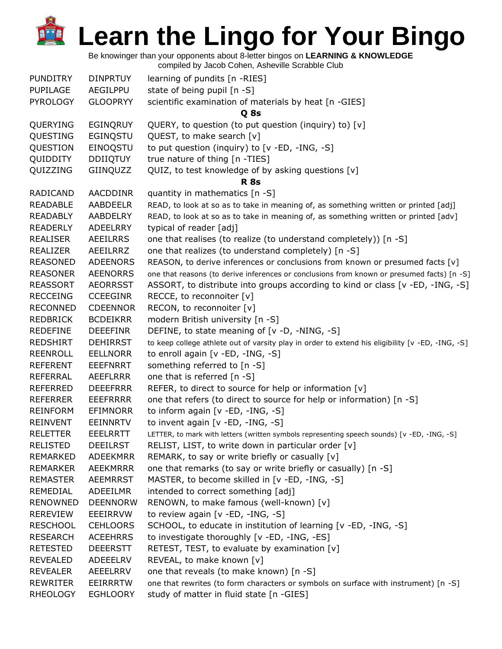Be knowinger than your opponents about 8-letter bingos on **LEARNING & KNOWLEDGE**

| <b>PUNDITRY</b> | <b>DINPRTUY</b> | learning of pundits [n -RIES]                                                                    |
|-----------------|-----------------|--------------------------------------------------------------------------------------------------|
| PUPILAGE        | AEGILPPU        | state of being pupil [n -S]                                                                      |
| <b>PYROLOGY</b> | <b>GLOOPRYY</b> | scientific examination of materials by heat [n -GIES]                                            |
|                 |                 | Q 8s                                                                                             |
| QUERYING        | <b>EGINQRUY</b> | QUERY, to question (to put question (inquiry) to) [v]                                            |
| QUESTING        | EGINQSTU        | QUEST, to make search [v]                                                                        |
| QUESTION        | EINOQSTU        | to put question (inquiry) to [v -ED, -ING, -S]                                                   |
| QUIDDITY        | <b>DDIIQTUY</b> | true nature of thing [n -TIES]                                                                   |
| QUIZZING        | GIINQUZZ        | QUIZ, to test knowledge of by asking questions [v]                                               |
|                 |                 | <b>R</b> 8s                                                                                      |
| <b>RADICAND</b> | AACDDINR        | quantity in mathematics [n -S]                                                                   |
| <b>READABLE</b> | AABDEELR        | READ, to look at so as to take in meaning of, as something written or printed [adj]              |
| <b>READABLY</b> | <b>AABDELRY</b> | READ, to look at so as to take in meaning of, as something written or printed [adv]              |
| <b>READERLY</b> | ADEELRRY        | typical of reader [adj]                                                                          |
| <b>REALISER</b> | AEEILRRS        | one that realises (to realize (to understand completely)) [n -S]                                 |
| <b>REALIZER</b> | AEEILRRZ        | one that realizes (to understand completely) [n -S]                                              |
| <b>REASONED</b> | <b>ADEENORS</b> | REASON, to derive inferences or conclusions from known or presumed facts [v]                     |
| <b>REASONER</b> | <b>AEENORRS</b> | one that reasons (to derive inferences or conclusions from known or presumed facts) [n -S]       |
| <b>REASSORT</b> | <b>AEORRSST</b> | ASSORT, to distribute into groups according to kind or class [v -ED, -ING, -S]                   |
| <b>RECCEING</b> | <b>CCEEGINR</b> | RECCE, to reconnoiter [v]                                                                        |
| <b>RECONNED</b> | <b>CDEENNOR</b> | RECON, to reconnoiter [v]                                                                        |
| <b>REDBRICK</b> | <b>BCDEIKRR</b> | modern British university [n -S]                                                                 |
| <b>REDEFINE</b> | <b>DEEEFINR</b> | DEFINE, to state meaning of [v -D, -NING, -S]                                                    |
| <b>REDSHIRT</b> | <b>DEHIRRST</b> | to keep college athlete out of varsity play in order to extend his eligibility [v -ED, -ING, -S] |
| <b>REENROLL</b> | <b>EELLNORR</b> | to enroll again [v -ED, -ING, -S]                                                                |
| <b>REFERENT</b> | <b>EEEFNRRT</b> | something referred to [n -S]                                                                     |
| REFERRAL        | AEEFLRRR        | one that is referred [n -S]                                                                      |
| <b>REFERRED</b> | <b>DEEEFRRR</b> | REFER, to direct to source for help or information $[v]$                                         |
| <b>REFERRER</b> | <b>EEEFRRRR</b> | one that refers (to direct to source for help or information) [n -S]                             |
| <b>REINFORM</b> | <b>EFIMNORR</b> | to inform again [v -ED, -ING, -S]                                                                |
| <b>REINVENT</b> | <b>EEINNRTV</b> | to invent again [v -ED, -ING, -S]                                                                |
| <b>RELETTER</b> | <b>EEELRRTT</b> | LETTER, to mark with letters (written symbols representing speech sounds) [v -ED, -ING, -S]      |
| <b>RELISTED</b> | <b>DEEILRST</b> | RELIST, LIST, to write down in particular order [v]                                              |
| <b>REMARKED</b> | <b>ADEEKMRR</b> | REMARK, to say or write briefly or casually [v]                                                  |
| <b>REMARKER</b> | AEEKMRRR        | one that remarks (to say or write briefly or casually) [n -S]                                    |
| <b>REMASTER</b> | <b>AEEMRRST</b> | MASTER, to become skilled in [v -ED, -ING, -S]                                                   |
| REMEDIAL        | <b>ADEEILMR</b> | intended to correct something [adj]                                                              |
| <b>RENOWNED</b> | <b>DEENNORW</b> | RENOWN, to make famous (well-known) [v]                                                          |
| <b>REREVIEW</b> | EEEIRRVW        | to review again [v -ED, -ING, -S]                                                                |
| <b>RESCHOOL</b> | <b>CEHLOORS</b> | SCHOOL, to educate in institution of learning [v -ED, -ING, -S]                                  |
| <b>RESEARCH</b> | <b>ACEEHRRS</b> | to investigate thoroughly [v -ED, -ING, -ES]                                                     |
| <b>RETESTED</b> | <b>DEEERSTT</b> | RETEST, TEST, to evaluate by examination [v]                                                     |
| <b>REVEALED</b> | ADEEELRV        | REVEAL, to make known [v]                                                                        |
| <b>REVEALER</b> | AEEELRRV        | one that reveals (to make known) [n -S]                                                          |
| <b>REWRITER</b> | <b>EEIRRRTW</b> | one that rewrites (to form characters or symbols on surface with instrument) [n -S]              |
| <b>RHEOLOGY</b> | <b>EGHLOORY</b> | study of matter in fluid state [n -GIES]                                                         |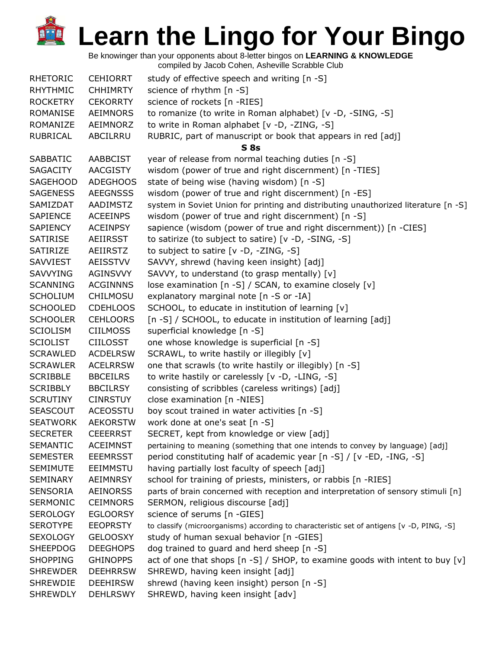| <b>RHETORIC</b> | <b>CEHIORRT</b> | study of effective speech and writing [n -S]                                              |
|-----------------|-----------------|-------------------------------------------------------------------------------------------|
| <b>RHYTHMIC</b> | <b>CHHIMRTY</b> | science of rhythm [n -S]                                                                  |
| <b>ROCKETRY</b> | <b>CEKORRTY</b> | science of rockets [n -RIES]                                                              |
| ROMANISE        | <b>AEIMNORS</b> | to romanize (to write in Roman alphabet) [v -D, -SING, -S]                                |
| ROMANIZE        | AEIMNORZ        | to write in Roman alphabet [v -D, -ZING, -S]                                              |
| RUBRICAL        | ABCILRRU        | RUBRIC, part of manuscript or book that appears in red [adj]                              |
|                 |                 | $S$ 8s                                                                                    |
| <b>SABBATIC</b> | <b>AABBCIST</b> | year of release from normal teaching duties [n -S]                                        |
| <b>SAGACITY</b> | AACGISTY        | wisdom (power of true and right discernment) [n -TIES]                                    |
| <b>SAGEHOOD</b> | <b>ADEGHOOS</b> | state of being wise (having wisdom) [n -S]                                                |
| <b>SAGENESS</b> | <b>AEEGNSSS</b> | wisdom (power of true and right discernment) [n -ES]                                      |
| SAMIZDAT        | AADIMSTZ        | system in Soviet Union for printing and distributing unauthorized literature [n -S]       |
| <b>SAPIENCE</b> | <b>ACEEINPS</b> | wisdom (power of true and right discernment) [n -S]                                       |
| SAPIENCY        | <b>ACEINPSY</b> | sapience (wisdom (power of true and right discernment)) [n -CIES]                         |
| <b>SATIRISE</b> | AEIIRSST        | to satirize (to subject to satire) [v -D, -SING, -S]                                      |
| SATIRIZE        | AEIIRSTZ        | to subject to satire $[v -D, -ZING, -S]$                                                  |
| <b>SAVVIEST</b> | <b>AEISSTVV</b> | SAVVY, shrewd (having keen insight) [adj]                                                 |
| <b>SAVVYING</b> | <b>AGINSVVY</b> | SAVVY, to understand (to grasp mentally) [v]                                              |
| <b>SCANNING</b> | <b>ACGINNNS</b> | lose examination [n -S] / SCAN, to examine closely [v]                                    |
| <b>SCHOLIUM</b> | <b>CHILMOSU</b> | explanatory marginal note [n -S or -IA]                                                   |
| <b>SCHOOLED</b> | <b>CDEHLOOS</b> | SCHOOL, to educate in institution of learning [v]                                         |
| <b>SCHOOLER</b> | <b>CEHLOORS</b> | [n -S] / SCHOOL, to educate in institution of learning [adj]                              |
| <b>SCIOLISM</b> | <b>CIILMOSS</b> | superficial knowledge [n -S]                                                              |
| <b>SCIOLIST</b> | <b>CIILOSST</b> | one whose knowledge is superficial [n -S]                                                 |
| <b>SCRAWLED</b> | <b>ACDELRSW</b> | SCRAWL, to write hastily or illegibly [v]                                                 |
| <b>SCRAWLER</b> | <b>ACELRRSW</b> | one that scrawls (to write hastily or illegibly) [n -S]                                   |
| <b>SCRIBBLE</b> | <b>BBCEILRS</b> | to write hastily or carelessly [v -D, -LING, -S]                                          |
| <b>SCRIBBLY</b> | <b>BBCILRSY</b> | consisting of scribbles (careless writings) [adj]                                         |
| <b>SCRUTINY</b> | <b>CINRSTUY</b> | close examination [n -NIES]                                                               |
| <b>SEASCOUT</b> | <b>ACEOSSTU</b> | boy scout trained in water activities [n -S]                                              |
| <b>SEATWORK</b> | <b>AEKORSTW</b> | work done at one's seat [n -S]                                                            |
| <b>SECRETER</b> | <b>CEEERRST</b> | SECRET, kept from knowledge or view [adj]                                                 |
| <b>SEMANTIC</b> | <b>ACEIMNST</b> | pertaining to meaning (something that one intends to convey by language) [adj]            |
| <b>SEMESTER</b> | <b>EEEMRSST</b> | period constituting half of academic year [n -S] / [v -ED, -ING, -S]                      |
| <b>SEMIMUTE</b> | <b>EEIMMSTU</b> | having partially lost faculty of speech [adj]                                             |
| <b>SEMINARY</b> | AEIMNRSY        | school for training of priests, ministers, or rabbis [n -RIES]                            |
| <b>SENSORIA</b> | <b>AEINORSS</b> | parts of brain concerned with reception and interpretation of sensory stimuli [n]         |
| <b>SERMONIC</b> | <b>CEIMNORS</b> | SERMON, religious discourse [adj]                                                         |
| <b>SEROLOGY</b> | <b>EGLOORSY</b> | science of serums [n -GIES]                                                               |
| <b>SEROTYPE</b> | <b>EEOPRSTY</b> | to classify (microorganisms) according to characteristic set of antigens [v -D, PING, -S] |
| <b>SEXOLOGY</b> | <b>GELOOSXY</b> | study of human sexual behavior [n -GIES]                                                  |
| <b>SHEEPDOG</b> | <b>DEEGHOPS</b> | dog trained to guard and herd sheep [n -S]                                                |
| <b>SHOPPING</b> | <b>GHINOPPS</b> | act of one that shops $[n -S]$ / SHOP, to examine goods with intent to buy $[v]$          |
| <b>SHREWDER</b> | <b>DEEHRRSW</b> | SHREWD, having keen insight [adj]                                                         |
| <b>SHREWDIE</b> | <b>DEEHIRSW</b> | shrewd (having keen insight) person [n -S]                                                |
| <b>SHREWDLY</b> | <b>DEHLRSWY</b> | SHREWD, having keen insight [adv]                                                         |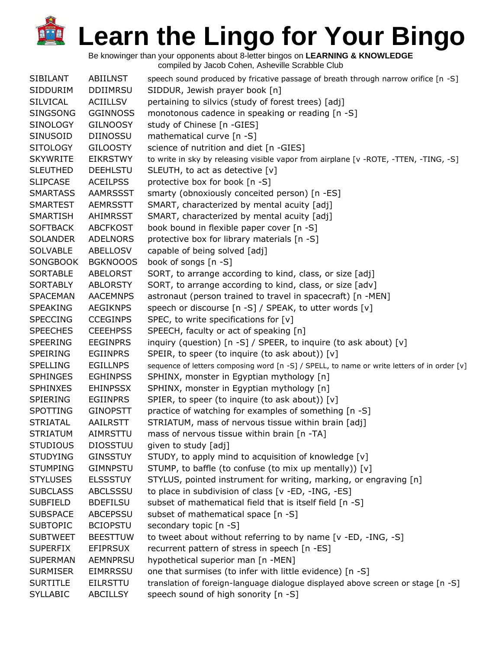| <b>SIBILANT</b> | ABIILNST        | speech sound produced by fricative passage of breath through narrow orifice [n -S]          |
|-----------------|-----------------|---------------------------------------------------------------------------------------------|
| SIDDURIM        | <b>DDIIMRSU</b> | SIDDUR, Jewish prayer book [n]                                                              |
| <b>SILVICAL</b> | <b>ACIILLSV</b> | pertaining to silvics (study of forest trees) [adj]                                         |
| <b>SINGSONG</b> | <b>GGINNOSS</b> | monotonous cadence in speaking or reading [n -S]                                            |
| <b>SINOLOGY</b> | <b>GILNOOSY</b> | study of Chinese [n -GIES]                                                                  |
| SINUSOID        | <b>DIINOSSU</b> | mathematical curve [n -S]                                                                   |
| <b>SITOLOGY</b> | <b>GILOOSTY</b> | science of nutrition and diet [n -GIES]                                                     |
| <b>SKYWRITE</b> | <b>EIKRSTWY</b> | to write in sky by releasing visible vapor from airplane [v -ROTE, -TTEN, -TING, -S]        |
| <b>SLEUTHED</b> | <b>DEEHLSTU</b> | SLEUTH, to act as detective [v]                                                             |
| <b>SLIPCASE</b> | <b>ACEILPSS</b> | protective box for book [n -S]                                                              |
| <b>SMARTASS</b> | <b>AAMRSSST</b> | smarty (obnoxiously conceited person) [n -ES]                                               |
| <b>SMARTEST</b> | <b>AEMRSSTT</b> | SMART, characterized by mental acuity [adj]                                                 |
| <b>SMARTISH</b> | AHIMRSST        | SMART, characterized by mental acuity [adj]                                                 |
| <b>SOFTBACK</b> | <b>ABCFKOST</b> | book bound in flexible paper cover [n -S]                                                   |
| <b>SOLANDER</b> | <b>ADELNORS</b> | protective box for library materials [n -S]                                                 |
| <b>SOLVABLE</b> | <b>ABELLOSV</b> | capable of being solved [adj]                                                               |
| <b>SONGBOOK</b> | <b>BGKNOOOS</b> | book of songs [n -S]                                                                        |
| <b>SORTABLE</b> | <b>ABELORST</b> | SORT, to arrange according to kind, class, or size [adj]                                    |
| <b>SORTABLY</b> | <b>ABLORSTY</b> | SORT, to arrange according to kind, class, or size [adv]                                    |
| <b>SPACEMAN</b> | <b>AACEMNPS</b> | astronaut (person trained to travel in spacecraft) [n -MEN]                                 |
| <b>SPEAKING</b> | <b>AEGIKNPS</b> | speech or discourse [n -S] / SPEAK, to utter words [v]                                      |
| <b>SPECCING</b> | <b>CCEGINPS</b> | SPEC, to write specifications for $[v]$                                                     |
| <b>SPEECHES</b> | <b>CEEEHPSS</b> | SPEECH, faculty or act of speaking [n]                                                      |
| <b>SPEERING</b> | <b>EEGINPRS</b> | inquiry (question) [n -S] / SPEER, to inquire (to ask about) [v]                            |
| <b>SPEIRING</b> | <b>EGIINPRS</b> | SPEIR, to speer (to inquire (to ask about)) [v]                                             |
| <b>SPELLING</b> | <b>EGILLNPS</b> | sequence of letters composing word [n -S] / SPELL, to name or write letters of in order [v] |
| <b>SPHINGES</b> | <b>EGHINPSS</b> | SPHINX, monster in Egyptian mythology [n]                                                   |
| <b>SPHINXES</b> | <b>EHINPSSX</b> | SPHINX, monster in Egyptian mythology [n]                                                   |
| SPIERING        | <b>EGIINPRS</b> | SPIER, to speer (to inquire (to ask about)) [v]                                             |
| SPOTTING        | <b>GINOPSTT</b> | practice of watching for examples of something [n -S]                                       |
| <b>STRIATAL</b> | AAILRSTT        | STRIATUM, mass of nervous tissue within brain [adj]                                         |
| <b>STRIATUM</b> | AIMRSTTU        | mass of nervous tissue within brain [n -TA]                                                 |
| <b>STUDIOUS</b> | <b>DIOSSTUU</b> | given to study [adj]                                                                        |
| <b>STUDYING</b> | <b>GINSSTUY</b> | STUDY, to apply mind to acquisition of knowledge [v]                                        |
| <b>STUMPING</b> | <b>GIMNPSTU</b> | STUMP, to baffle (to confuse (to mix up mentally)) [v]                                      |
| <b>STYLUSES</b> | <b>ELSSSTUY</b> | STYLUS, pointed instrument for writing, marking, or engraving [n]                           |
| <b>SUBCLASS</b> | <b>ABCLSSSU</b> | to place in subdivision of class [v -ED, -ING, -ES]                                         |
| <b>SUBFIELD</b> | <b>BDEFILSU</b> | subset of mathematical field that is itself field [n -S]                                    |
| <b>SUBSPACE</b> | <b>ABCEPSSU</b> | subset of mathematical space [n -S]                                                         |
| <b>SUBTOPIC</b> | <b>BCIOPSTU</b> | secondary topic [n -S]                                                                      |
| <b>SUBTWEET</b> | <b>BEESTTUW</b> | to tweet about without referring to by name [v -ED, -ING, -S]                               |
| <b>SUPERFIX</b> | <b>EFIPRSUX</b> | recurrent pattern of stress in speech [n -ES]                                               |
| <b>SUPERMAN</b> | <b>AEMNPRSU</b> | hypothetical superior man [n -MEN]                                                          |
| <b>SURMISER</b> | <b>EIMRRSSU</b> | one that surmises (to infer with little evidence) [n -S]                                    |
| <b>SURTITLE</b> | <b>EILRSTTU</b> | translation of foreign-language dialogue displayed above screen or stage [n -S]             |
| <b>SYLLABIC</b> | <b>ABCILLSY</b> | speech sound of high sonority [n -S]                                                        |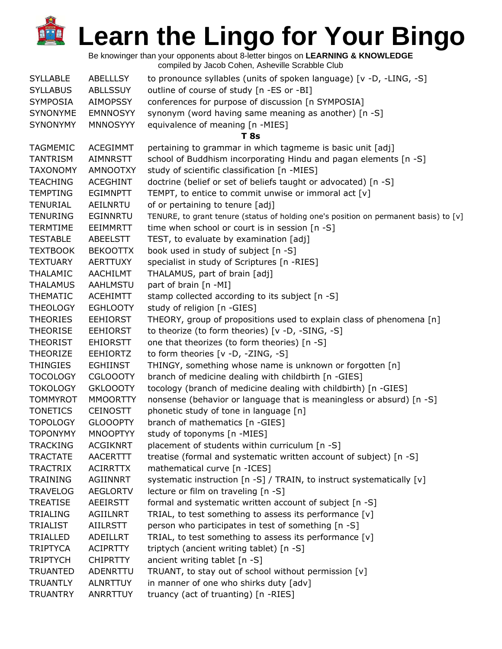| <b>SYLLABLE</b> | ABELLLSY        | to pronounce syllables (units of spoken language) [v -D, -LING, -S]                  |
|-----------------|-----------------|--------------------------------------------------------------------------------------|
| <b>SYLLABUS</b> | <b>ABLLSSUY</b> | outline of course of study [n -ES or -BI]                                            |
| <b>SYMPOSIA</b> | <b>AIMOPSSY</b> | conferences for purpose of discussion [n SYMPOSIA]                                   |
| <b>SYNONYME</b> | <b>EMNNOSYY</b> | synonym (word having same meaning as another) [n -S]                                 |
| <b>SYNONYMY</b> | <b>MNNOSYYY</b> | equivalence of meaning [n -MIES]                                                     |
|                 |                 | <b>T</b> 8s                                                                          |
| <b>TAGMEMIC</b> | <b>ACEGIMMT</b> | pertaining to grammar in which tagmeme is basic unit [adj]                           |
| <b>TANTRISM</b> | <b>AIMNRSTT</b> | school of Buddhism incorporating Hindu and pagan elements [n -S]                     |
| <b>TAXONOMY</b> | <b>AMNOOTXY</b> | study of scientific classification [n -MIES]                                         |
| <b>TEACHING</b> | <b>ACEGHINT</b> | doctrine (belief or set of beliefs taught or advocated) [n -S]                       |
| <b>TEMPTING</b> | <b>EGIMNPTT</b> | TEMPT, to entice to commit unwise or immoral act [v]                                 |
| <b>TENURIAL</b> | AEILNRTU        | of or pertaining to tenure [adj]                                                     |
| <b>TENURING</b> | EGINNRTU        | TENURE, to grant tenure (status of holding one's position on permanent basis) to [v] |
| <b>TERMTIME</b> | EEIMMRTT        | time when school or court is in session [n -S]                                       |
| <b>TESTABLE</b> | ABEELSTT        | TEST, to evaluate by examination [adj]                                               |
| <b>TEXTBOOK</b> | <b>BEKOOTTX</b> | book used in study of subject [n -S]                                                 |
| <b>TEXTUARY</b> | <b>AERTTUXY</b> | specialist in study of Scriptures [n -RIES]                                          |
| <b>THALAMIC</b> | <b>AACHILMT</b> | THALAMUS, part of brain [adj]                                                        |
| <b>THALAMUS</b> | <b>AAHLMSTU</b> | part of brain [n -MI]                                                                |
| <b>THEMATIC</b> | <b>ACEHIMTT</b> | stamp collected according to its subject [n -S]                                      |
| <b>THEOLOGY</b> | <b>EGHLOOTY</b> | study of religion [n -GIES]                                                          |
| <b>THEORIES</b> | <b>EEHIORST</b> | THEORY, group of propositions used to explain class of phenomena [n]                 |
| <b>THEORISE</b> | <b>EEHIORST</b> | to theorize (to form theories) [v -D, -SING, -S]                                     |
| <b>THEORIST</b> | <b>EHIORSTT</b> | one that theorizes (to form theories) [n -S]                                         |
| <b>THEORIZE</b> | <b>EEHIORTZ</b> | to form theories [v -D, -ZING, -S]                                                   |
| <b>THINGIES</b> | <b>EGHIINST</b> | THINGY, something whose name is unknown or forgotten [n]                             |
| <b>TOCOLOGY</b> | <b>CGLOOOTY</b> | branch of medicine dealing with childbirth [n -GIES]                                 |
| <b>TOKOLOGY</b> | <b>GKLOOOTY</b> | tocology (branch of medicine dealing with childbirth) [n -GIES]                      |
| <b>TOMMYROT</b> | <b>MMOORTTY</b> | nonsense (behavior or language that is meaningless or absurd) [n -S]                 |
| <b>TONETICS</b> | <b>CEINOSTT</b> | phonetic study of tone in language [n]                                               |
| <b>TOPOLOGY</b> | <b>GLOOOPTY</b> | branch of mathematics [n -GIES]                                                      |
| <b>TOPONYMY</b> | <b>MNOOPTYY</b> | study of toponyms [n -MIES]                                                          |
| <b>TRACKING</b> | <b>ACGIKNRT</b> | placement of students within curriculum [n -S]                                       |
| <b>TRACTATE</b> | <b>AACERTTT</b> | treatise (formal and systematic written account of subject) [n -S]                   |
| <b>TRACTRIX</b> | <b>ACIRRTTX</b> | mathematical curve [n -ICES]                                                         |
| <b>TRAINING</b> | AGIINNRT        | systematic instruction [n -S] / TRAIN, to instruct systematically [v]                |
| <b>TRAVELOG</b> | <b>AEGLORTV</b> | lecture or film on traveling [n -S]                                                  |
| <b>TREATISE</b> | AEEIRSTT        | formal and systematic written account of subject [n -S]                              |
| <b>TRIALING</b> | <b>AGIILNRT</b> | TRIAL, to test something to assess its performance [v]                               |
| <b>TRIALIST</b> | <b>AIILRSTT</b> | person who participates in test of something [n -S]                                  |
| TRIALLED        | ADEILLRT        | TRIAL, to test something to assess its performance [v]                               |
| <b>TRIPTYCA</b> | <b>ACIPRTTY</b> | triptych (ancient writing tablet) [n -S]                                             |
| <b>TRIPTYCH</b> | <b>CHIPRTTY</b> | ancient writing tablet [n -S]                                                        |
| <b>TRUANTED</b> | ADENRTTU        | TRUANT, to stay out of school without permission [v]                                 |
| <b>TRUANTLY</b> | <b>ALNRTTUY</b> | in manner of one who shirks duty [adv]                                               |
| <b>TRUANTRY</b> | ANRRTTUY        | truancy (act of truanting) [n -RIES]                                                 |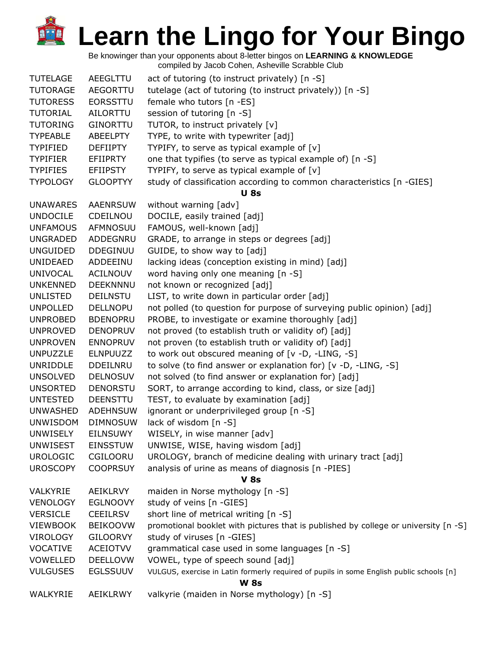| <b>TUTELAGE</b> | AEEGLTTU        | act of tutoring (to instruct privately) [n -S]                                           |  |
|-----------------|-----------------|------------------------------------------------------------------------------------------|--|
| <b>TUTORAGE</b> | AEGORTTU        | tutelage (act of tutoring (to instruct privately)) [n -S]                                |  |
| <b>TUTORESS</b> | <b>EORSSTTU</b> | female who tutors [n -ES]                                                                |  |
| <b>TUTORIAL</b> | <b>AILORTTU</b> | session of tutoring [n -S]                                                               |  |
| <b>TUTORING</b> | <b>GINORTTU</b> | TUTOR, to instruct privately [v]                                                         |  |
| <b>TYPEABLE</b> | <b>ABEELPTY</b> | TYPE, to write with typewriter [adj]                                                     |  |
| <b>TYPIFIED</b> | <b>DEFIIPTY</b> | TYPIFY, to serve as typical example of $[v]$                                             |  |
| <b>TYPIFIER</b> | <b>EFIIPRTY</b> | one that typifies (to serve as typical example of) [n -S]                                |  |
| <b>TYPIFIES</b> | <b>EFIIPSTY</b> | TYPIFY, to serve as typical example of $[v]$                                             |  |
| <b>TYPOLOGY</b> | <b>GLOOPTYY</b> | study of classification according to common characteristics [n -GIES]                    |  |
|                 |                 | <b>U</b> 8s                                                                              |  |
| <b>UNAWARES</b> | <b>AAENRSUW</b> | without warning [adv]                                                                    |  |
| <b>UNDOCILE</b> | CDEILNOU        | DOCILE, easily trained [adj]                                                             |  |
| <b>UNFAMOUS</b> | AFMNOSUU        | FAMOUS, well-known [adj]                                                                 |  |
| <b>UNGRADED</b> | ADDEGNRU        | GRADE, to arrange in steps or degrees [adj]                                              |  |
| <b>UNGUIDED</b> | <b>DDEGINUU</b> | GUIDE, to show way to [adj]                                                              |  |
| <b>UNIDEAED</b> | ADDEEINU        | lacking ideas (conception existing in mind) [adj]                                        |  |
| <b>UNIVOCAL</b> | <b>ACILNOUV</b> | word having only one meaning [n -S]                                                      |  |
| <b>UNKENNED</b> | <b>DEEKNNNU</b> | not known or recognized [adj]                                                            |  |
| <b>UNLISTED</b> | DEILNSTU        | LIST, to write down in particular order [adj]                                            |  |
| <b>UNPOLLED</b> | <b>DELLNOPU</b> |                                                                                          |  |
|                 |                 | not polled (to question for purpose of surveying public opinion) [adj]                   |  |
| <b>UNPROBED</b> | <b>BDENOPRU</b> | PROBE, to investigate or examine thoroughly [adj]                                        |  |
| <b>UNPROVED</b> | <b>DENOPRUV</b> | not proved (to establish truth or validity of) [adj]                                     |  |
| <b>UNPROVEN</b> | <b>ENNOPRUV</b> | not proven (to establish truth or validity of) [adj]                                     |  |
| <b>UNPUZZLE</b> | <b>ELNPUUZZ</b> | to work out obscured meaning of [v -D, -LING, -S]                                        |  |
| UNRIDDLE        | DDEILNRU        | to solve (to find answer or explanation for) [v -D, -LING, -S]                           |  |
| <b>UNSOLVED</b> | <b>DELNOSUV</b> | not solved (to find answer or explanation for) [adj]                                     |  |
| <b>UNSORTED</b> | <b>DENORSTU</b> | SORT, to arrange according to kind, class, or size [adj]                                 |  |
| <b>UNTESTED</b> | <b>DEENSTTU</b> | TEST, to evaluate by examination [adj]                                                   |  |
| <b>UNWASHED</b> | <b>ADEHNSUW</b> | ignorant or underprivileged group [n -S]                                                 |  |
| <b>UNWISDOM</b> | <b>DIMNOSUW</b> | lack of wisdom [n -S]                                                                    |  |
| <b>UNWISELY</b> | <b>EILNSUWY</b> | WISELY, in wise manner [adv]                                                             |  |
| <b>UNWISEST</b> | <b>EINSSTUW</b> | UNWISE, WISE, having wisdom [adj]                                                        |  |
| <b>UROLOGIC</b> | CGILOORU        | UROLOGY, branch of medicine dealing with urinary tract [adj]                             |  |
| <b>UROSCOPY</b> | <b>COOPRSUY</b> | analysis of urine as means of diagnosis [n -PIES]                                        |  |
|                 |                 | <b>V 8s</b>                                                                              |  |
| VALKYRIE        | <b>AEIKLRVY</b> | maiden in Norse mythology [n -S]                                                         |  |
| <b>VENOLOGY</b> | <b>EGLNOOVY</b> | study of veins [n -GIES]                                                                 |  |
| <b>VERSICLE</b> | <b>CEEILRSV</b> | short line of metrical writing [n -S]                                                    |  |
| <b>VIEWBOOK</b> | <b>BEIKOOVW</b> | promotional booklet with pictures that is published by college or university [n -S]      |  |
| <b>VIROLOGY</b> | <b>GILOORVY</b> | study of viruses [n -GIES]                                                               |  |
| <b>VOCATIVE</b> | <b>ACEIOTVV</b> | grammatical case used in some languages [n -S]                                           |  |
| VOWELLED        | <b>DEELLOVW</b> | VOWEL, type of speech sound [adj]                                                        |  |
| <b>VULGUSES</b> | <b>EGLSSUUV</b> | VULGUS, exercise in Latin formerly required of pupils in some English public schools [n] |  |
| <b>W 8s</b>     |                 |                                                                                          |  |
| WALKYRIE        | AEIKLRWY        | valkyrie (maiden in Norse mythology) [n -S]                                              |  |
|                 |                 |                                                                                          |  |